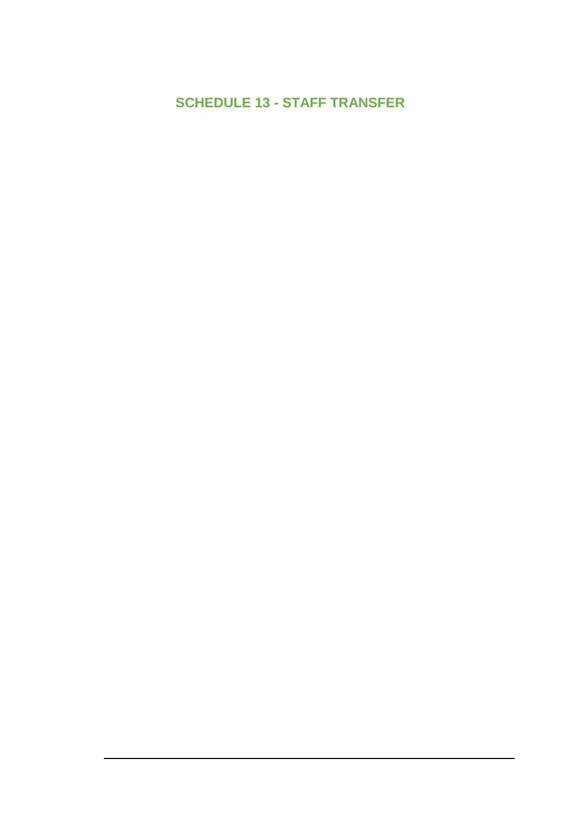# **SCHEDULE 13 - STAFF TRANSFER**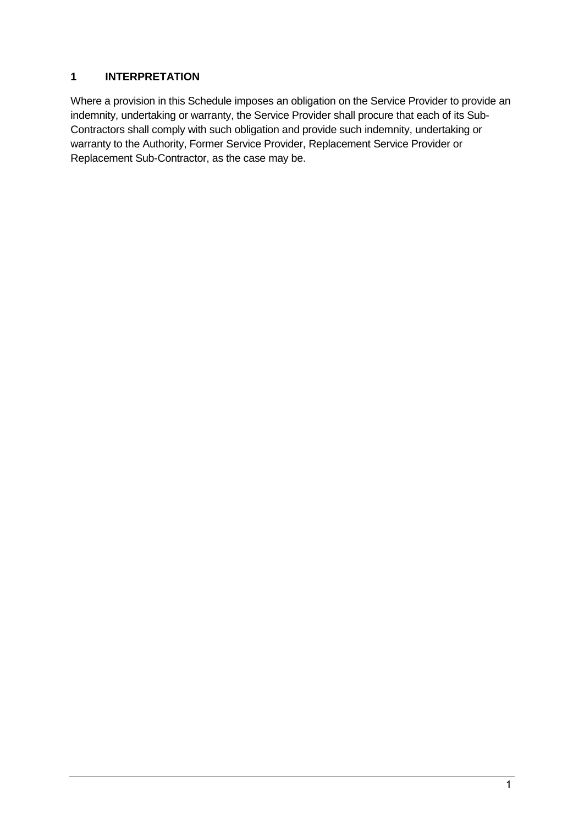### **1 INTERPRETATION**

Where a provision in this Schedule imposes an obligation on the Service Provider to provide an indemnity, undertaking or warranty, the Service Provider shall procure that each of its Sub-Contractors shall comply with such obligation and provide such indemnity, undertaking or warranty to the Authority, Former Service Provider, Replacement Service Provider or Replacement Sub-Contractor, as the case may be.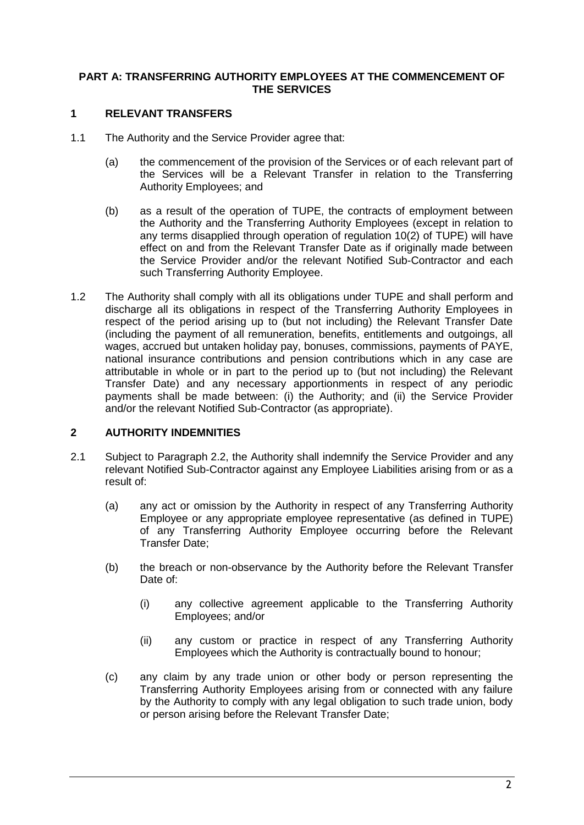### **PART A: TRANSFERRING AUTHORITY EMPLOYEES AT THE COMMENCEMENT OF THE SERVICES**

### **1 RELEVANT TRANSFERS**

- 1.1 The Authority and the Service Provider agree that:
	- (a) the commencement of the provision of the Services or of each relevant part of the Services will be a Relevant Transfer in relation to the Transferring Authority Employees; and
	- (b) as a result of the operation of TUPE, the contracts of employment between the Authority and the Transferring Authority Employees (except in relation to any terms disapplied through operation of regulation 10(2) of TUPE) will have effect on and from the Relevant Transfer Date as if originally made between the Service Provider and/or the relevant Notified Sub-Contractor and each such Transferring Authority Employee.
- 1.2 The Authority shall comply with all its obligations under TUPE and shall perform and discharge all its obligations in respect of the Transferring Authority Employees in respect of the period arising up to (but not including) the Relevant Transfer Date (including the payment of all remuneration, benefits, entitlements and outgoings, all wages, accrued but untaken holiday pay, bonuses, commissions, payments of PAYE, national insurance contributions and pension contributions which in any case are attributable in whole or in part to the period up to (but not including) the Relevant Transfer Date) and any necessary apportionments in respect of any periodic payments shall be made between: (i) the Authority; and (ii) the Service Provider and/or the relevant Notified Sub-Contractor (as appropriate).

### **2 AUTHORITY INDEMNITIES**

- <span id="page-2-0"></span>2.1 Subject to Paragraph [2.2,](#page-3-0) the Authority shall indemnify the Service Provider and any relevant Notified Sub-Contractor against any Employee Liabilities arising from or as a result of:
	- (a) any act or omission by the Authority in respect of any Transferring Authority Employee or any appropriate employee representative (as defined in TUPE) of any Transferring Authority Employee occurring before the Relevant Transfer Date;
	- (b) the breach or non-observance by the Authority before the Relevant Transfer Date of:
		- (i) any collective agreement applicable to the Transferring Authority Employees; and/or
		- (ii) any custom or practice in respect of any Transferring Authority Employees which the Authority is contractually bound to honour;
	- (c) any claim by any trade union or other body or person representing the Transferring Authority Employees arising from or connected with any failure by the Authority to comply with any legal obligation to such trade union, body or person arising before the Relevant Transfer Date;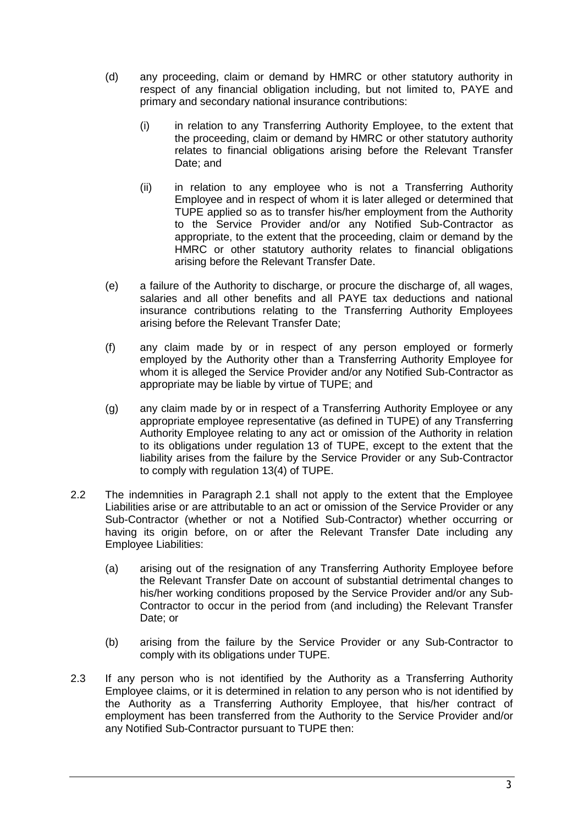- (d) any proceeding, claim or demand by HMRC or other statutory authority in respect of any financial obligation including, but not limited to, PAYE and primary and secondary national insurance contributions:
	- (i) in relation to any Transferring Authority Employee, to the extent that the proceeding, claim or demand by HMRC or other statutory authority relates to financial obligations arising before the Relevant Transfer Date; and
	- (ii) in relation to any employee who is not a Transferring Authority Employee and in respect of whom it is later alleged or determined that TUPE applied so as to transfer his/her employment from the Authority to the Service Provider and/or any Notified Sub-Contractor as appropriate, to the extent that the proceeding, claim or demand by the HMRC or other statutory authority relates to financial obligations arising before the Relevant Transfer Date.
- (e) a failure of the Authority to discharge, or procure the discharge of, all wages, salaries and all other benefits and all PAYE tax deductions and national insurance contributions relating to the Transferring Authority Employees arising before the Relevant Transfer Date;
- (f) any claim made by or in respect of any person employed or formerly employed by the Authority other than a Transferring Authority Employee for whom it is alleged the Service Provider and/or any Notified Sub-Contractor as appropriate may be liable by virtue of TUPE; and
- (g) any claim made by or in respect of a Transferring Authority Employee or any appropriate employee representative (as defined in TUPE) of any Transferring Authority Employee relating to any act or omission of the Authority in relation to its obligations under regulation 13 of TUPE, except to the extent that the liability arises from the failure by the Service Provider or any Sub-Contractor to comply with regulation 13(4) of TUPE.
- <span id="page-3-0"></span>2.2 The indemnities in Paragraph [2.1](#page-2-0) shall not apply to the extent that the Employee Liabilities arise or are attributable to an act or omission of the Service Provider or any Sub-Contractor (whether or not a Notified Sub-Contractor) whether occurring or having its origin before, on or after the Relevant Transfer Date including any Employee Liabilities:
	- (a) arising out of the resignation of any Transferring Authority Employee before the Relevant Transfer Date on account of substantial detrimental changes to his/her working conditions proposed by the Service Provider and/or any Sub-Contractor to occur in the period from (and including) the Relevant Transfer Date; or
	- (b) arising from the failure by the Service Provider or any Sub-Contractor to comply with its obligations under TUPE.
- <span id="page-3-1"></span>2.3 If any person who is not identified by the Authority as a Transferring Authority Employee claims, or it is determined in relation to any person who is not identified by the Authority as a Transferring Authority Employee, that his/her contract of employment has been transferred from the Authority to the Service Provider and/or any Notified Sub-Contractor pursuant to TUPE then: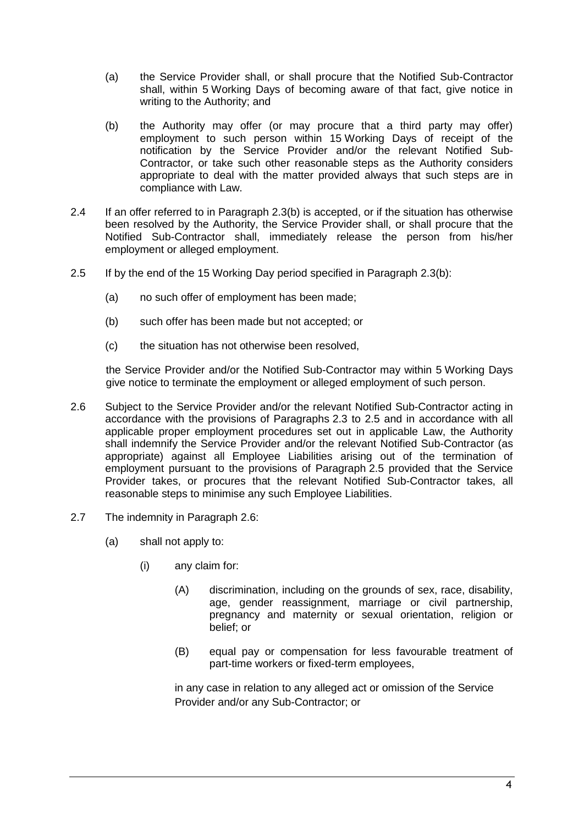- (a) the Service Provider shall, or shall procure that the Notified Sub-Contractor shall, within 5 Working Days of becoming aware of that fact, give notice in writing to the Authority; and
- <span id="page-4-0"></span>(b) the Authority may offer (or may procure that a third party may offer) employment to such person within 15 Working Days of receipt of the notification by the Service Provider and/or the relevant Notified Sub-Contractor, or take such other reasonable steps as the Authority considers appropriate to deal with the matter provided always that such steps are in compliance with Law.
- 2.4 If an offer referred to in Paragraph [2.3\(b\)](#page-4-0) is accepted, or if the situation has otherwise been resolved by the Authority, the Service Provider shall, or shall procure that the Notified Sub-Contractor shall, immediately release the person from his/her employment or alleged employment.
- <span id="page-4-1"></span>2.5 If by the end of the 15 Working Day period specified in Paragraph [2.3\(b\):](#page-4-0)
	- (a) no such offer of employment has been made;
	- (b) such offer has been made but not accepted; or
	- (c) the situation has not otherwise been resolved,

the Service Provider and/or the Notified Sub-Contractor may within 5 Working Days give notice to terminate the employment or alleged employment of such person.

- 2.6 Subject to the Service Provider and/or the relevant Notified Sub-Contractor acting in accordance with the provisions of Paragraphs [2.3](#page-3-1) to [2.5](#page-4-1) and in accordance with all applicable proper employment procedures set out in applicable Law, the Authority shall indemnify the Service Provider and/or the relevant Notified Sub-Contractor (as appropriate) against all Employee Liabilities arising out of the termination of employment pursuant to the provisions of Paragraph [2.5](#page-4-1) provided that the Service Provider takes, or procures that the relevant Notified Sub-Contractor takes, all reasonable steps to minimise any such Employee Liabilities.
- 2.7 The indemnity in Paragraph [2.6:](#page-14-0)
	- (a) shall not apply to:
		- (i) any claim for:
			- (A) discrimination, including on the grounds of sex, race, disability, age, gender reassignment, marriage or civil partnership, pregnancy and maternity or sexual orientation, religion or belief; or
			- (B) equal pay or compensation for less favourable treatment of part-time workers or fixed-term employees,

in any case in relation to any alleged act or omission of the Service Provider and/or any Sub-Contractor; or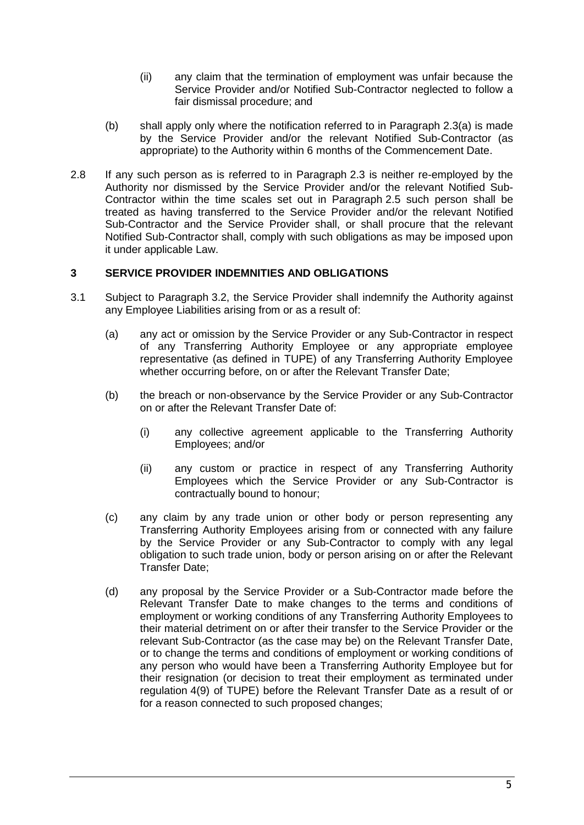- (ii) any claim that the termination of employment was unfair because the Service Provider and/or Notified Sub-Contractor neglected to follow a fair dismissal procedure; and
- (b) shall apply only where the notification referred to in Paragraph [2.3\(](#page-14-1)a) is made by the Service Provider and/or the relevant Notified Sub-Contractor (as appropriate) to the Authority within 6 months of the Commencement Date.
- <span id="page-5-0"></span>2.8 If any such person as is referred to in Paragraph [2.3](#page-3-1) is neither re-employed by the Authority nor dismissed by the Service Provider and/or the relevant Notified Sub-Contractor within the time scales set out in Paragraph [2.5](#page-4-1) such person shall be treated as having transferred to the Service Provider and/or the relevant Notified Sub-Contractor and the Service Provider shall, or shall procure that the relevant Notified Sub-Contractor shall, comply with such obligations as may be imposed upon it under applicable Law.

### **3 SERVICE PROVIDER INDEMNITIES AND OBLIGATIONS**

- <span id="page-5-1"></span>3.1 Subject to Paragraph [3.2,](#page-6-0) the Service Provider shall indemnify the Authority against any Employee Liabilities arising from or as a result of:
	- (a) any act or omission by the Service Provider or any Sub-Contractor in respect of any Transferring Authority Employee or any appropriate employee representative (as defined in TUPE) of any Transferring Authority Employee whether occurring before, on or after the Relevant Transfer Date;
	- (b) the breach or non-observance by the Service Provider or any Sub-Contractor on or after the Relevant Transfer Date of:
		- (i) any collective agreement applicable to the Transferring Authority Employees; and/or
		- (ii) any custom or practice in respect of any Transferring Authority Employees which the Service Provider or any Sub-Contractor is contractually bound to honour;
	- (c) any claim by any trade union or other body or person representing any Transferring Authority Employees arising from or connected with any failure by the Service Provider or any Sub-Contractor to comply with any legal obligation to such trade union, body or person arising on or after the Relevant Transfer Date;
	- (d) any proposal by the Service Provider or a Sub-Contractor made before the Relevant Transfer Date to make changes to the terms and conditions of employment or working conditions of any Transferring Authority Employees to their material detriment on or after their transfer to the Service Provider or the relevant Sub-Contractor (as the case may be) on the Relevant Transfer Date, or to change the terms and conditions of employment or working conditions of any person who would have been a Transferring Authority Employee but for their resignation (or decision to treat their employment as terminated under regulation 4(9) of TUPE) before the Relevant Transfer Date as a result of or for a reason connected to such proposed changes;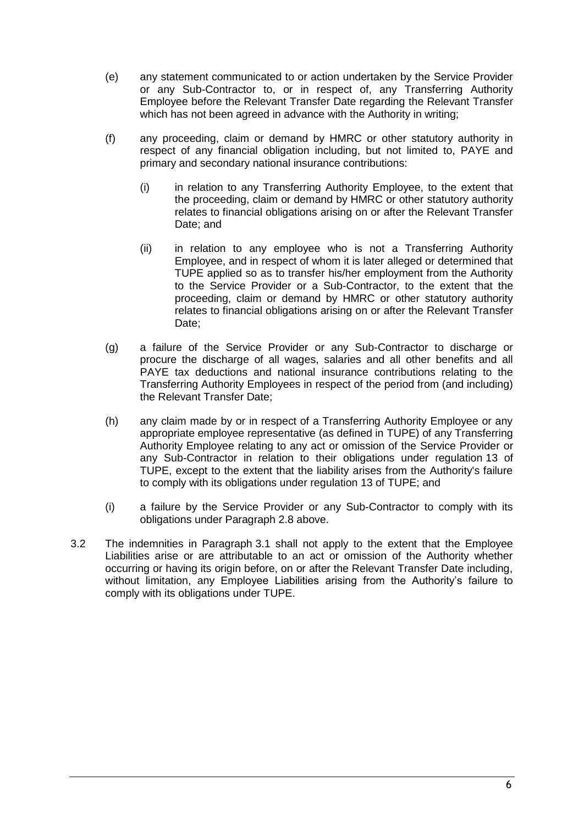- (e) any statement communicated to or action undertaken by the Service Provider or any Sub-Contractor to, or in respect of, any Transferring Authority Employee before the Relevant Transfer Date regarding the Relevant Transfer which has not been agreed in advance with the Authority in writing;
- (f) any proceeding, claim or demand by HMRC or other statutory authority in respect of any financial obligation including, but not limited to, PAYE and primary and secondary national insurance contributions:
	- (i) in relation to any Transferring Authority Employee, to the extent that the proceeding, claim or demand by HMRC or other statutory authority relates to financial obligations arising on or after the Relevant Transfer Date; and
	- (ii) in relation to any employee who is not a Transferring Authority Employee, and in respect of whom it is later alleged or determined that TUPE applied so as to transfer his/her employment from the Authority to the Service Provider or a Sub-Contractor, to the extent that the proceeding, claim or demand by HMRC or other statutory authority relates to financial obligations arising on or after the Relevant Transfer Date;
- (g) a failure of the Service Provider or any Sub-Contractor to discharge or procure the discharge of all wages, salaries and all other benefits and all PAYE tax deductions and national insurance contributions relating to the Transferring Authority Employees in respect of the period from (and including) the Relevant Transfer Date;
- (h) any claim made by or in respect of a Transferring Authority Employee or any appropriate employee representative (as defined in TUPE) of any Transferring Authority Employee relating to any act or omission of the Service Provider or any Sub-Contractor in relation to their obligations under regulation 13 of TUPE, except to the extent that the liability arises from the Authority's failure to comply with its obligations under regulation 13 of TUPE; and
- (i) a failure by the Service Provider or any Sub-Contractor to comply with its obligations under Paragraph [2.8](#page-5-0) above.
- <span id="page-6-0"></span>3.2 The indemnities in Paragraph [3.1](#page-5-1) shall not apply to the extent that the Employee Liabilities arise or are attributable to an act or omission of the Authority whether occurring or having its origin before, on or after the Relevant Transfer Date including, without limitation, any Employee Liabilities arising from the Authority's failure to comply with its obligations under TUPE.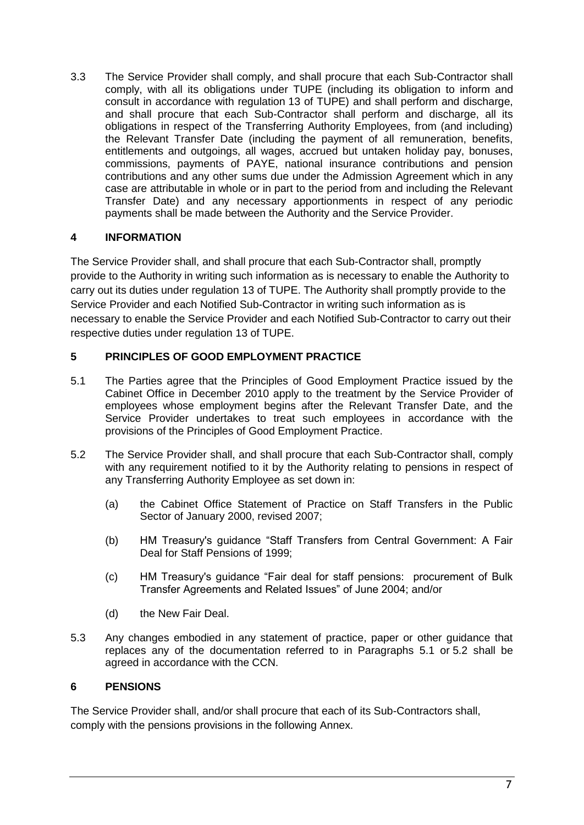3.3 The Service Provider shall comply, and shall procure that each Sub-Contractor shall comply, with all its obligations under TUPE (including its obligation to inform and consult in accordance with regulation 13 of TUPE) and shall perform and discharge, and shall procure that each Sub-Contractor shall perform and discharge, all its obligations in respect of the Transferring Authority Employees, from (and including) the Relevant Transfer Date (including the payment of all remuneration, benefits, entitlements and outgoings, all wages, accrued but untaken holiday pay, bonuses, commissions, payments of PAYE, national insurance contributions and pension contributions and any other sums due under the Admission Agreement which in any case are attributable in whole or in part to the period from and including the Relevant Transfer Date) and any necessary apportionments in respect of any periodic payments shall be made between the Authority and the Service Provider.

### **4 INFORMATION**

The Service Provider shall, and shall procure that each Sub-Contractor shall, promptly provide to the Authority in writing such information as is necessary to enable the Authority to carry out its duties under regulation 13 of TUPE. The Authority shall promptly provide to the Service Provider and each Notified Sub-Contractor in writing such information as is necessary to enable the Service Provider and each Notified Sub-Contractor to carry out their respective duties under regulation 13 of TUPE.

### **5 PRINCIPLES OF GOOD EMPLOYMENT PRACTICE**

- <span id="page-7-0"></span>5.1 The Parties agree that the Principles of Good Employment Practice issued by the Cabinet Office in December 2010 apply to the treatment by the Service Provider of employees whose employment begins after the Relevant Transfer Date, and the Service Provider undertakes to treat such employees in accordance with the provisions of the Principles of Good Employment Practice.
- <span id="page-7-1"></span>5.2 The Service Provider shall, and shall procure that each Sub-Contractor shall, comply with any requirement notified to it by the Authority relating to pensions in respect of any Transferring Authority Employee as set down in:
	- (a) the Cabinet Office Statement of Practice on Staff Transfers in the Public Sector of January 2000, revised 2007;
	- (b) HM Treasury's guidance "Staff Transfers from Central Government: A Fair Deal for Staff Pensions of 1999;
	- (c) HM Treasury's guidance "Fair deal for staff pensions: procurement of Bulk Transfer Agreements and Related Issues" of June 2004; and/or
	- (d) the New Fair Deal.
- 5.3 Any changes embodied in any statement of practice, paper or other guidance that replaces any of the documentation referred to in Paragraphs [5.1](#page-7-0) or [5.2](#page-7-1) shall be agreed in accordance with the CCN.

### **6 PENSIONS**

The Service Provider shall, and/or shall procure that each of its Sub-Contractors shall, comply with the pensions provisions in the following Annex.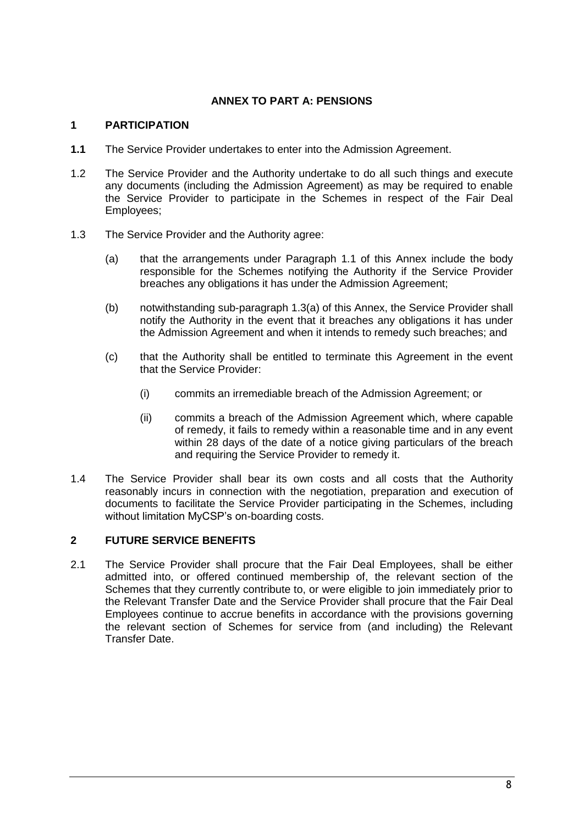### **ANNEX TO PART A: PENSIONS**

### **1 PARTICIPATION**

- <span id="page-8-0"></span>**1.1** The Service Provider undertakes to enter into the Admission Agreement.
- 1.2 The Service Provider and the Authority undertake to do all such things and execute any documents (including the Admission Agreement) as may be required to enable the Service Provider to participate in the Schemes in respect of the Fair Deal Employees;
- <span id="page-8-1"></span>1.3 The Service Provider and the Authority agree:
	- (a) that the arrangements under Paragraph [1.1](#page-8-0) of this Annex include the body responsible for the Schemes notifying the Authority if the Service Provider breaches any obligations it has under the Admission Agreement;
	- (b) notwithstanding sub-paragraph [1.3\(a\)](#page-8-1) of this Annex, the Service Provider shall notify the Authority in the event that it breaches any obligations it has under the Admission Agreement and when it intends to remedy such breaches; and
	- (c) that the Authority shall be entitled to terminate this Agreement in the event that the Service Provider:
		- (i) commits an irremediable breach of the Admission Agreement; or
		- (ii) commits a breach of the Admission Agreement which, where capable of remedy, it fails to remedy within a reasonable time and in any event within 28 days of the date of a notice giving particulars of the breach and requiring the Service Provider to remedy it.
- 1.4 The Service Provider shall bear its own costs and all costs that the Authority reasonably incurs in connection with the negotiation, preparation and execution of documents to facilitate the Service Provider participating in the Schemes, including without limitation MyCSP's on-boarding costs.

### **2 FUTURE SERVICE BENEFITS**

2.1 The Service Provider shall procure that the Fair Deal Employees, shall be either admitted into, or offered continued membership of, the relevant section of the Schemes that they currently contribute to, or were eligible to join immediately prior to the Relevant Transfer Date and the Service Provider shall procure that the Fair Deal Employees continue to accrue benefits in accordance with the provisions governing the relevant section of Schemes for service from (and including) the Relevant Transfer Date.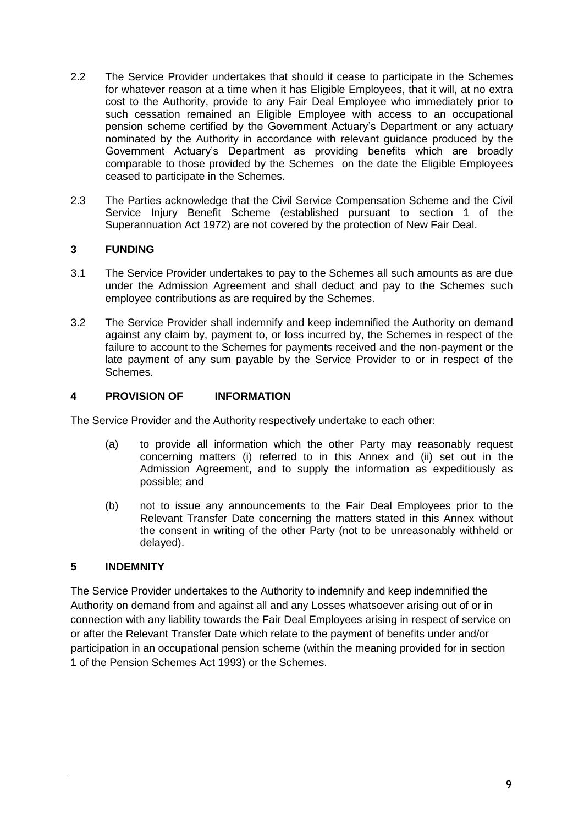- <span id="page-9-0"></span>2.2 The Service Provider undertakes that should it cease to participate in the Schemes for whatever reason at a time when it has Eligible Employees, that it will, at no extra cost to the Authority, provide to any Fair Deal Employee who immediately prior to such cessation remained an Eligible Employee with access to an occupational pension scheme certified by the Government Actuary's Department or any actuary nominated by the Authority in accordance with relevant guidance produced by the Government Actuary's Department as providing benefits which are broadly comparable to those provided by the Schemes on the date the Eligible Employees ceased to participate in the Schemes.
- 2.3 The Parties acknowledge that the Civil Service Compensation Scheme and the Civil Service Injury Benefit Scheme (established pursuant to section 1 of the Superannuation Act 1972) are not covered by the protection of New Fair Deal.

### **3 FUNDING**

- 3.1 The Service Provider undertakes to pay to the Schemes all such amounts as are due under the Admission Agreement and shall deduct and pay to the Schemes such employee contributions as are required by the Schemes.
- 3.2 The Service Provider shall indemnify and keep indemnified the Authority on demand against any claim by, payment to, or loss incurred by, the Schemes in respect of the failure to account to the Schemes for payments received and the non-payment or the late payment of any sum payable by the Service Provider to or in respect of the Schemes.

### **4 PROVISION OF INFORMATION**

The Service Provider and the Authority respectively undertake to each other:

- (a) to provide all information which the other Party may reasonably request concerning matters (i) referred to in this Annex and (ii) set out in the Admission Agreement, and to supply the information as expeditiously as possible; and
- (b) not to issue any announcements to the Fair Deal Employees prior to the Relevant Transfer Date concerning the matters stated in this Annex without the consent in writing of the other Party (not to be unreasonably withheld or delayed).

### **5 INDEMNITY**

The Service Provider undertakes to the Authority to indemnify and keep indemnified the Authority on demand from and against all and any Losses whatsoever arising out of or in connection with any liability towards the Fair Deal Employees arising in respect of service on or after the Relevant Transfer Date which relate to the payment of benefits under and/or participation in an occupational pension scheme (within the meaning provided for in section 1 of the Pension Schemes Act 1993) or the Schemes.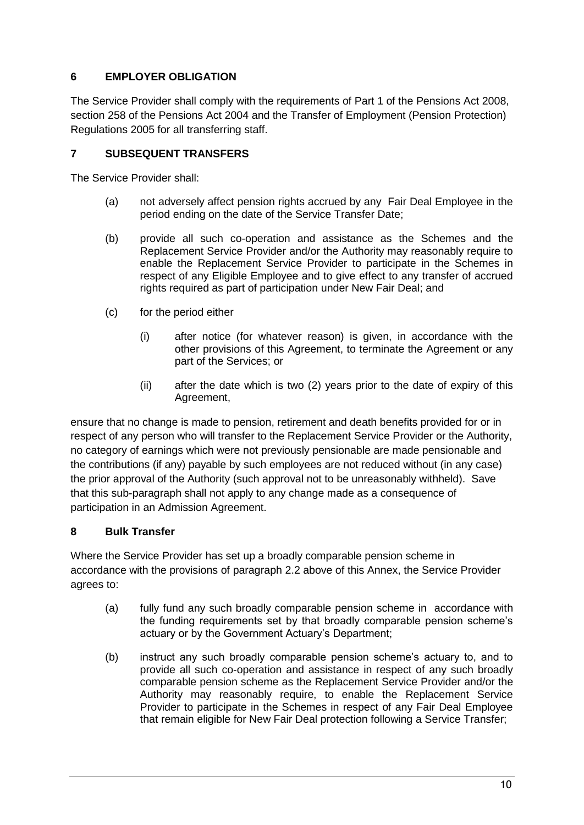### **6 EMPLOYER OBLIGATION**

The Service Provider shall comply with the requirements of Part 1 of the Pensions Act 2008, section 258 of the Pensions Act 2004 and the Transfer of Employment (Pension Protection) Regulations 2005 for all transferring staff.

### **7 SUBSEQUENT TRANSFERS**

The Service Provider shall:

- (a) not adversely affect pension rights accrued by any Fair Deal Employee in the period ending on the date of the Service Transfer Date;
- (b) provide all such co-operation and assistance as the Schemes and the Replacement Service Provider and/or the Authority may reasonably require to enable the Replacement Service Provider to participate in the Schemes in respect of any Eligible Employee and to give effect to any transfer of accrued rights required as part of participation under New Fair Deal; and
- (c) for the period either
	- (i) after notice (for whatever reason) is given, in accordance with the other provisions of this Agreement, to terminate the Agreement or any part of the Services; or
	- (ii) after the date which is two (2) years prior to the date of expiry of this Agreement,

ensure that no change is made to pension, retirement and death benefits provided for or in respect of any person who will transfer to the Replacement Service Provider or the Authority, no category of earnings which were not previously pensionable are made pensionable and the contributions (if any) payable by such employees are not reduced without (in any case) the prior approval of the Authority (such approval not to be unreasonably withheld). Save that this sub-paragraph shall not apply to any change made as a consequence of participation in an Admission Agreement.

### <span id="page-10-0"></span>**8 Bulk Transfer**

Where the Service Provider has set up a broadly comparable pension scheme in accordance with the provisions of paragraph [2.2](#page-9-0) above of this Annex, the Service Provider agrees to:

- (a) fully fund any such broadly comparable pension scheme in accordance with the funding requirements set by that broadly comparable pension scheme's actuary or by the Government Actuary's Department;
- (b) instruct any such broadly comparable pension scheme's actuary to, and to provide all such co-operation and assistance in respect of any such broadly comparable pension scheme as the Replacement Service Provider and/or the Authority may reasonably require, to enable the Replacement Service Provider to participate in the Schemes in respect of any Fair Deal Employee that remain eligible for New Fair Deal protection following a Service Transfer;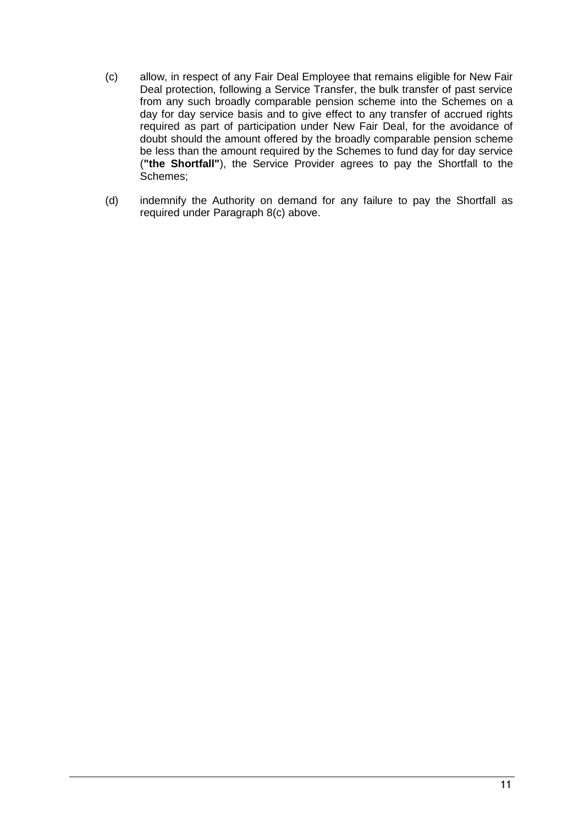- <span id="page-11-0"></span>(c) allow, in respect of any Fair Deal Employee that remains eligible for New Fair Deal protection, following a Service Transfer, the bulk transfer of past service from any such broadly comparable pension scheme into the Schemes on a day for day service basis and to give effect to any transfer of accrued rights required as part of participation under New Fair Deal, for the avoidance of doubt should the amount offered by the broadly comparable pension scheme be less than the amount required by the Schemes to fund day for day service (**"the Shortfall"**), the Service Provider agrees to pay the Shortfall to the Schemes;
- (d) indemnify the Authority on demand for any failure to pay the Shortfall as required under Paragraph [8](#page-10-0)[\(c\)](#page-11-0) above.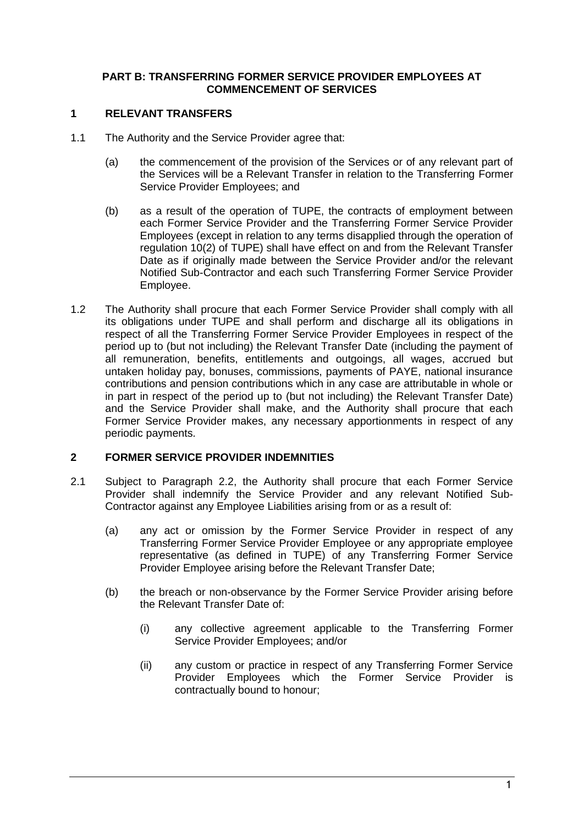#### <span id="page-12-0"></span>**PART B: TRANSFERRING FORMER SERVICE PROVIDER EMPLOYEES AT COMMENCEMENT OF SERVICES**

### **1 RELEVANT TRANSFERS**

- 1.1 The Authority and the Service Provider agree that:
	- (a) the commencement of the provision of the Services or of any relevant part of the Services will be a Relevant Transfer in relation to the Transferring Former Service Provider Employees; and
	- (b) as a result of the operation of TUPE, the contracts of employment between each Former Service Provider and the Transferring Former Service Provider Employees (except in relation to any terms disapplied through the operation of regulation 10(2) of TUPE) shall have effect on and from the Relevant Transfer Date as if originally made between the Service Provider and/or the relevant Notified Sub-Contractor and each such Transferring Former Service Provider Employee.
- 1.2 The Authority shall procure that each Former Service Provider shall comply with all its obligations under TUPE and shall perform and discharge all its obligations in respect of all the Transferring Former Service Provider Employees in respect of the period up to (but not including) the Relevant Transfer Date (including the payment of all remuneration, benefits, entitlements and outgoings, all wages, accrued but untaken holiday pay, bonuses, commissions, payments of PAYE, national insurance contributions and pension contributions which in any case are attributable in whole or in part in respect of the period up to (but not including) the Relevant Transfer Date) and the Service Provider shall make, and the Authority shall procure that each Former Service Provider makes, any necessary apportionments in respect of any periodic payments.

### **2 FORMER SERVICE PROVIDER INDEMNITIES**

- 2.1 Subject to Paragraph [2.2,](#page-13-0) the Authority shall procure that each Former Service Provider shall indemnify the Service Provider and any relevant Notified Sub-Contractor against any Employee Liabilities arising from or as a result of:
	- (a) any act or omission by the Former Service Provider in respect of any Transferring Former Service Provider Employee or any appropriate employee representative (as defined in TUPE) of any Transferring Former Service Provider Employee arising before the Relevant Transfer Date;
	- (b) the breach or non-observance by the Former Service Provider arising before the Relevant Transfer Date of:
		- (i) any collective agreement applicable to the Transferring Former Service Provider Employees; and/or
		- (ii) any custom or practice in respect of any Transferring Former Service Provider Employees which the Former Service Provider is contractually bound to honour;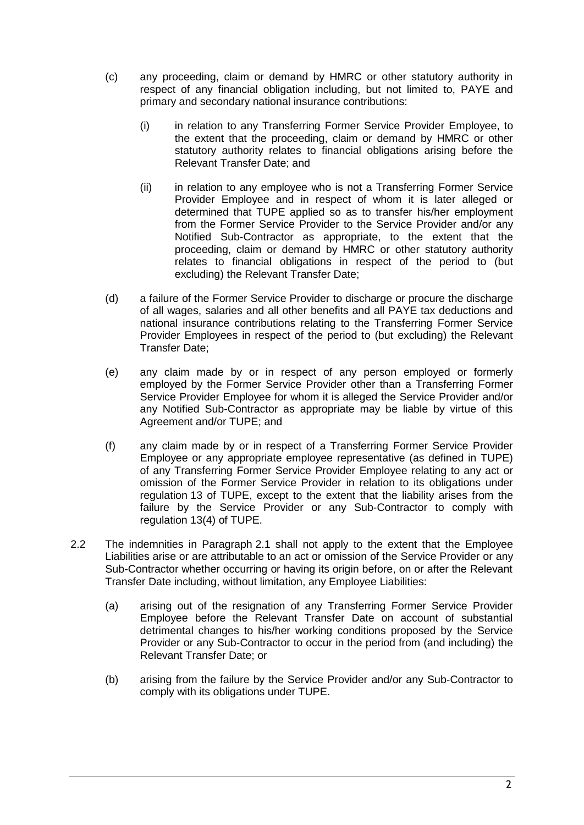- (c) any proceeding, claim or demand by HMRC or other statutory authority in respect of any financial obligation including, but not limited to, PAYE and primary and secondary national insurance contributions:
	- (i) in relation to any Transferring Former Service Provider Employee, to the extent that the proceeding, claim or demand by HMRC or other statutory authority relates to financial obligations arising before the Relevant Transfer Date; and
	- (ii) in relation to any employee who is not a Transferring Former Service Provider Employee and in respect of whom it is later alleged or determined that TUPE applied so as to transfer his/her employment from the Former Service Provider to the Service Provider and/or any Notified Sub-Contractor as appropriate, to the extent that the proceeding, claim or demand by HMRC or other statutory authority relates to financial obligations in respect of the period to (but excluding) the Relevant Transfer Date;
- (d) a failure of the Former Service Provider to discharge or procure the discharge of all wages, salaries and all other benefits and all PAYE tax deductions and national insurance contributions relating to the Transferring Former Service Provider Employees in respect of the period to (but excluding) the Relevant Transfer Date;
- (e) any claim made by or in respect of any person employed or formerly employed by the Former Service Provider other than a Transferring Former Service Provider Employee for whom it is alleged the Service Provider and/or any Notified Sub-Contractor as appropriate may be liable by virtue of this Agreement and/or TUPE; and
- (f) any claim made by or in respect of a Transferring Former Service Provider Employee or any appropriate employee representative (as defined in TUPE) of any Transferring Former Service Provider Employee relating to any act or omission of the Former Service Provider in relation to its obligations under regulation 13 of TUPE, except to the extent that the liability arises from the failure by the Service Provider or any Sub-Contractor to comply with regulation 13(4) of TUPE.
- <span id="page-13-0"></span>2.2 The indemnities in Paragraph [2.1](#page-2-0) shall not apply to the extent that the Employee Liabilities arise or are attributable to an act or omission of the Service Provider or any Sub-Contractor whether occurring or having its origin before, on or after the Relevant Transfer Date including, without limitation, any Employee Liabilities:
	- (a) arising out of the resignation of any Transferring Former Service Provider Employee before the Relevant Transfer Date on account of substantial detrimental changes to his/her working conditions proposed by the Service Provider or any Sub-Contractor to occur in the period from (and including) the Relevant Transfer Date; or
	- (b) arising from the failure by the Service Provider and/or any Sub-Contractor to comply with its obligations under TUPE.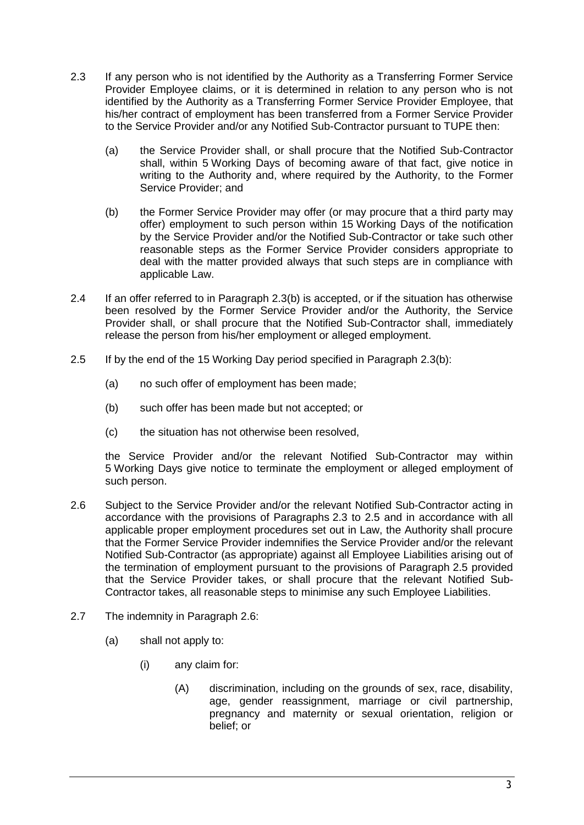- <span id="page-14-1"></span>2.3 If any person who is not identified by the Authority as a Transferring Former Service Provider Employee claims, or it is determined in relation to any person who is not identified by the Authority as a Transferring Former Service Provider Employee, that his/her contract of employment has been transferred from a Former Service Provider to the Service Provider and/or any Notified Sub-Contractor pursuant to TUPE then:
	- (a) the Service Provider shall, or shall procure that the Notified Sub-Contractor shall, within 5 Working Days of becoming aware of that fact, give notice in writing to the Authority and, where required by the Authority, to the Former Service Provider; and
	- (b) the Former Service Provider may offer (or may procure that a third party may offer) employment to such person within 15 Working Days of the notification by the Service Provider and/or the Notified Sub-Contractor or take such other reasonable steps as the Former Service Provider considers appropriate to deal with the matter provided always that such steps are in compliance with applicable Law.
- 2.4 If an offer referred to in Paragraph [2.3\(](#page-14-1)b) is accepted, or if the situation has otherwise been resolved by the Former Service Provider and/or the Authority, the Service Provider shall, or shall procure that the Notified Sub-Contractor shall, immediately release the person from his/her employment or alleged employment.
- <span id="page-14-2"></span>2.5 If by the end of the 15 Working Day period specified in Paragraph [2.3\(](#page-14-1)b):
	- (a) no such offer of employment has been made;
	- (b) such offer has been made but not accepted; or
	- (c) the situation has not otherwise been resolved,

the Service Provider and/or the relevant Notified Sub-Contractor may within 5 Working Days give notice to terminate the employment or alleged employment of such person.

- <span id="page-14-0"></span>2.6 Subject to the Service Provider and/or the relevant Notified Sub-Contractor acting in accordance with the provisions of Paragraphs [2.3](#page-3-1) to [2.5](#page-4-1) and in accordance with all applicable proper employment procedures set out in Law, the Authority shall procure that the Former Service Provider indemnifies the Service Provider and/or the relevant Notified Sub-Contractor (as appropriate) against all Employee Liabilities arising out of the termination of employment pursuant to the provisions of Paragraph [2.5](#page-4-1) provided that the Service Provider takes, or shall procure that the relevant Notified Sub-Contractor takes, all reasonable steps to minimise any such Employee Liabilities.
- 2.7 The indemnity in Paragraph [2.6:](#page-14-0)
	- (a) shall not apply to:
		- (i) any claim for:
			- (A) discrimination, including on the grounds of sex, race, disability, age, gender reassignment, marriage or civil partnership, pregnancy and maternity or sexual orientation, religion or belief; or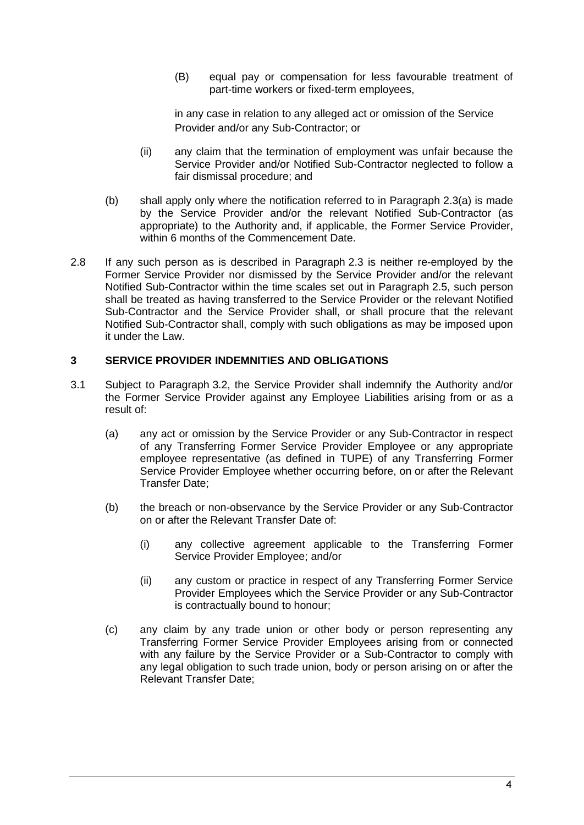(B) equal pay or compensation for less favourable treatment of part-time workers or fixed-term employees,

in any case in relation to any alleged act or omission of the Service Provider and/or any Sub-Contractor; or

- (ii) any claim that the termination of employment was unfair because the Service Provider and/or Notified Sub-Contractor neglected to follow a fair dismissal procedure; and
- (b) shall apply only where the notification referred to in Paragraph [2.3\(](#page-14-1)a) is made by the Service Provider and/or the relevant Notified Sub-Contractor (as appropriate) to the Authority and, if applicable, the Former Service Provider, within 6 months of the Commencement Date.
- 2.8 If any such person as is described in Paragraph [2.3](#page-14-1) is neither re-employed by the Former Service Provider nor dismissed by the Service Provider and/or the relevant Notified Sub-Contractor within the time scales set out in Paragraph [2.5,](#page-14-2) such person shall be treated as having transferred to the Service Provider or the relevant Notified Sub-Contractor and the Service Provider shall, or shall procure that the relevant Notified Sub-Contractor shall, comply with such obligations as may be imposed upon it under the Law.

### **3 SERVICE PROVIDER INDEMNITIES AND OBLIGATIONS**

- 3.1 Subject to Paragraph [3.2,](#page-17-0) the Service Provider shall indemnify the Authority and/or the Former Service Provider against any Employee Liabilities arising from or as a result of:
	- (a) any act or omission by the Service Provider or any Sub-Contractor in respect of any Transferring Former Service Provider Employee or any appropriate employee representative (as defined in TUPE) of any Transferring Former Service Provider Employee whether occurring before, on or after the Relevant Transfer Date;
	- (b) the breach or non-observance by the Service Provider or any Sub-Contractor on or after the Relevant Transfer Date of:
		- (i) any collective agreement applicable to the Transferring Former Service Provider Employee; and/or
		- (ii) any custom or practice in respect of any Transferring Former Service Provider Employees which the Service Provider or any Sub-Contractor is contractually bound to honour;
	- (c) any claim by any trade union or other body or person representing any Transferring Former Service Provider Employees arising from or connected with any failure by the Service Provider or a Sub-Contractor to comply with any legal obligation to such trade union, body or person arising on or after the Relevant Transfer Date;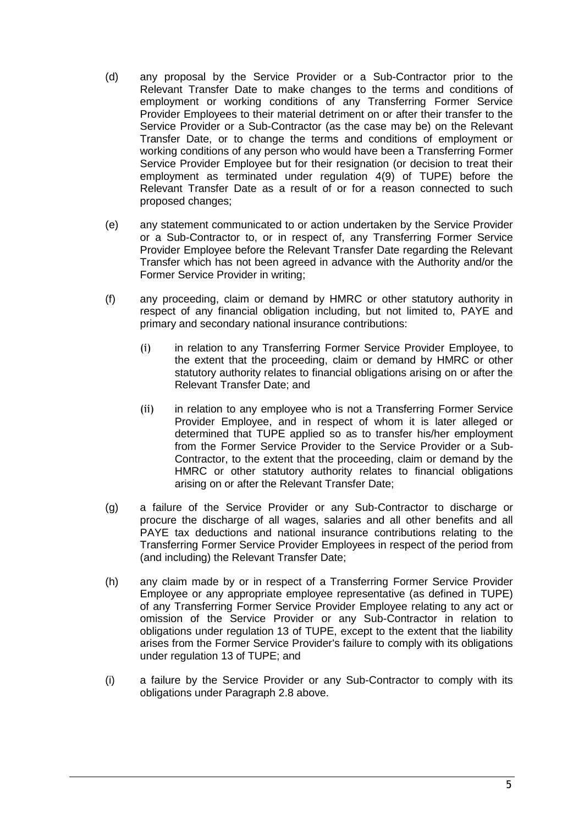- (d) any proposal by the Service Provider or a Sub-Contractor prior to the Relevant Transfer Date to make changes to the terms and conditions of employment or working conditions of any Transferring Former Service Provider Employees to their material detriment on or after their transfer to the Service Provider or a Sub-Contractor (as the case may be) on the Relevant Transfer Date, or to change the terms and conditions of employment or working conditions of any person who would have been a Transferring Former Service Provider Employee but for their resignation (or decision to treat their employment as terminated under regulation 4(9) of TUPE) before the Relevant Transfer Date as a result of or for a reason connected to such proposed changes;
- (e) any statement communicated to or action undertaken by the Service Provider or a Sub-Contractor to, or in respect of, any Transferring Former Service Provider Employee before the Relevant Transfer Date regarding the Relevant Transfer which has not been agreed in advance with the Authority and/or the Former Service Provider in writing;
- (f) any proceeding, claim or demand by HMRC or other statutory authority in respect of any financial obligation including, but not limited to, PAYE and primary and secondary national insurance contributions:
	- (i) in relation to any Transferring Former Service Provider Employee, to the extent that the proceeding, claim or demand by HMRC or other statutory authority relates to financial obligations arising on or after the Relevant Transfer Date; and
	- (ii) in relation to any employee who is not a Transferring Former Service Provider Employee, and in respect of whom it is later alleged or determined that TUPE applied so as to transfer his/her employment from the Former Service Provider to the Service Provider or a Sub-Contractor, to the extent that the proceeding, claim or demand by the HMRC or other statutory authority relates to financial obligations arising on or after the Relevant Transfer Date;
- (g) a failure of the Service Provider or any Sub-Contractor to discharge or procure the discharge of all wages, salaries and all other benefits and all PAYE tax deductions and national insurance contributions relating to the Transferring Former Service Provider Employees in respect of the period from (and including) the Relevant Transfer Date;
- (h) any claim made by or in respect of a Transferring Former Service Provider Employee or any appropriate employee representative (as defined in TUPE) of any Transferring Former Service Provider Employee relating to any act or omission of the Service Provider or any Sub-Contractor in relation to obligations under regulation 13 of TUPE, except to the extent that the liability arises from the Former Service Provider's failure to comply with its obligations under regulation 13 of TUPE; and
- (i) a failure by the Service Provider or any Sub-Contractor to comply with its obligations under Paragraph [2.8](#page-5-0) above.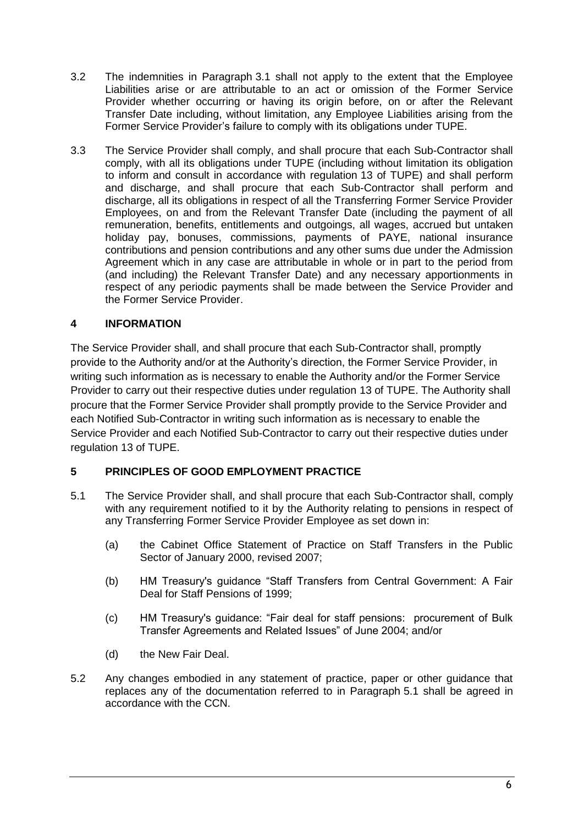- <span id="page-17-0"></span>3.2 The indemnities in Paragraph [3.1](#page-5-1) shall not apply to the extent that the Employee Liabilities arise or are attributable to an act or omission of the Former Service Provider whether occurring or having its origin before, on or after the Relevant Transfer Date including, without limitation, any Employee Liabilities arising from the Former Service Provider's failure to comply with its obligations under TUPE.
- 3.3 The Service Provider shall comply, and shall procure that each Sub-Contractor shall comply, with all its obligations under TUPE (including without limitation its obligation to inform and consult in accordance with regulation 13 of TUPE) and shall perform and discharge, and shall procure that each Sub-Contractor shall perform and discharge, all its obligations in respect of all the Transferring Former Service Provider Employees, on and from the Relevant Transfer Date (including the payment of all remuneration, benefits, entitlements and outgoings, all wages, accrued but untaken holiday pay, bonuses, commissions, payments of PAYE, national insurance contributions and pension contributions and any other sums due under the Admission Agreement which in any case are attributable in whole or in part to the period from (and including) the Relevant Transfer Date) and any necessary apportionments in respect of any periodic payments shall be made between the Service Provider and the Former Service Provider.

### **4 INFORMATION**

The Service Provider shall, and shall procure that each Sub-Contractor shall, promptly provide to the Authority and/or at the Authority's direction, the Former Service Provider, in writing such information as is necessary to enable the Authority and/or the Former Service Provider to carry out their respective duties under regulation 13 of TUPE. The Authority shall procure that the Former Service Provider shall promptly provide to the Service Provider and each Notified Sub-Contractor in writing such information as is necessary to enable the Service Provider and each Notified Sub-Contractor to carry out their respective duties under regulation 13 of TUPE.

### **5 PRINCIPLES OF GOOD EMPLOYMENT PRACTICE**

- 5.1 The Service Provider shall, and shall procure that each Sub-Contractor shall, comply with any requirement notified to it by the Authority relating to pensions in respect of any Transferring Former Service Provider Employee as set down in:
	- (a) the Cabinet Office Statement of Practice on Staff Transfers in the Public Sector of January 2000, revised 2007;
	- (b) HM Treasury's guidance "Staff Transfers from Central Government: A Fair Deal for Staff Pensions of 1999;
	- (c) HM Treasury's guidance: "Fair deal for staff pensions: procurement of Bulk Transfer Agreements and Related Issues" of June 2004; and/or
	- (d) the New Fair Deal.
- 5.2 Any changes embodied in any statement of practice, paper or other guidance that replaces any of the documentation referred to in Paragraph [5.1](#page-7-0) shall be agreed in accordance with the CCN.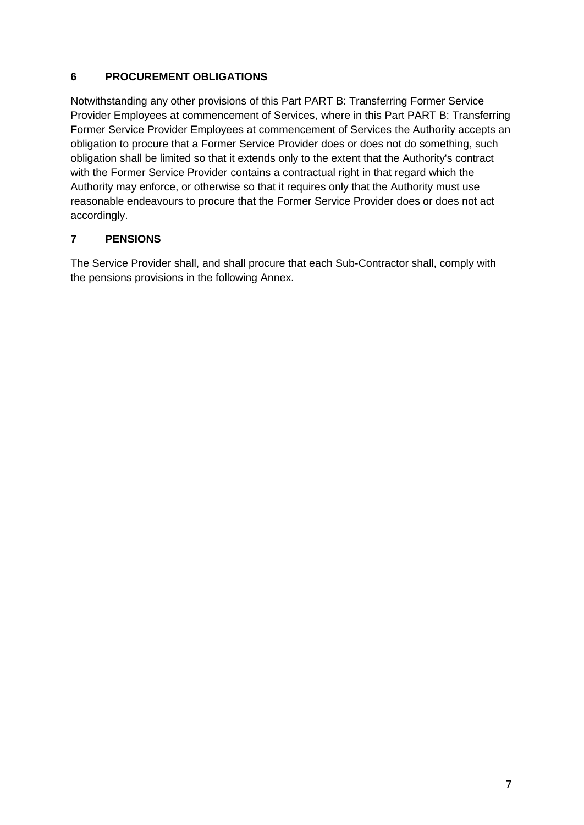### **6 PROCUREMENT OBLIGATIONS**

Notwithstanding any other provisions of this Part [PART B: Transferring Former Service](#page-12-0)  Provider [Employees at commencement of Services,](#page-12-0) where in this Part [PART B: Transferring](#page-12-0)  Former Service Provider [Employees at commencement of Services](#page-12-0) the Authority accepts an obligation to procure that a Former Service Provider does or does not do something, such obligation shall be limited so that it extends only to the extent that the Authority's contract with the Former Service Provider contains a contractual right in that regard which the Authority may enforce, or otherwise so that it requires only that the Authority must use reasonable endeavours to procure that the Former Service Provider does or does not act accordingly.

### **7 PENSIONS**

The Service Provider shall, and shall procure that each Sub-Contractor shall, comply with the pensions provisions in the following Annex.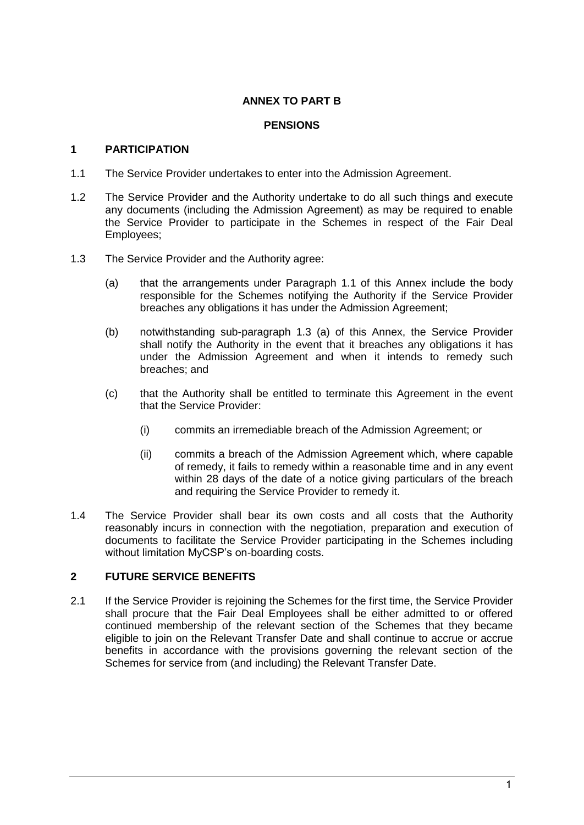### **ANNEX TO PART B**

#### **PENSIONS**

#### **1 PARTICIPATION**

- <span id="page-19-0"></span>1.1 The Service Provider undertakes to enter into the Admission Agreement.
- 1.2 The Service Provider and the Authority undertake to do all such things and execute any documents (including the Admission Agreement) as may be required to enable the Service Provider to participate in the Schemes in respect of the Fair Deal Employees;
- <span id="page-19-1"></span>1.3 The Service Provider and the Authority agree:
	- (a) that the arrangements under Paragraph [1.1](#page-19-0) of this Annex include the body responsible for the Schemes notifying the Authority if the Service Provider breaches any obligations it has under the Admission Agreement;
	- (b) notwithstanding sub-paragraph [1.3](#page-19-1) (a) of this Annex, the Service Provider shall notify the Authority in the event that it breaches any obligations it has under the Admission Agreement and when it intends to remedy such breaches; and
	- (c) that the Authority shall be entitled to terminate this Agreement in the event that the Service Provider:
		- (i) commits an irremediable breach of the Admission Agreement; or
		- (ii) commits a breach of the Admission Agreement which, where capable of remedy, it fails to remedy within a reasonable time and in any event within 28 days of the date of a notice giving particulars of the breach and requiring the Service Provider to remedy it.
- 1.4 The Service Provider shall bear its own costs and all costs that the Authority reasonably incurs in connection with the negotiation, preparation and execution of documents to facilitate the Service Provider participating in the Schemes including without limitation MyCSP's on-boarding costs.

### **2 FUTURE SERVICE BENEFITS**

2.1 If the Service Provider is rejoining the Schemes for the first time, the Service Provider shall procure that the Fair Deal Employees shall be either admitted to or offered continued membership of the relevant section of the Schemes that they became eligible to join on the Relevant Transfer Date and shall continue to accrue or accrue benefits in accordance with the provisions governing the relevant section of the Schemes for service from (and including) the Relevant Transfer Date.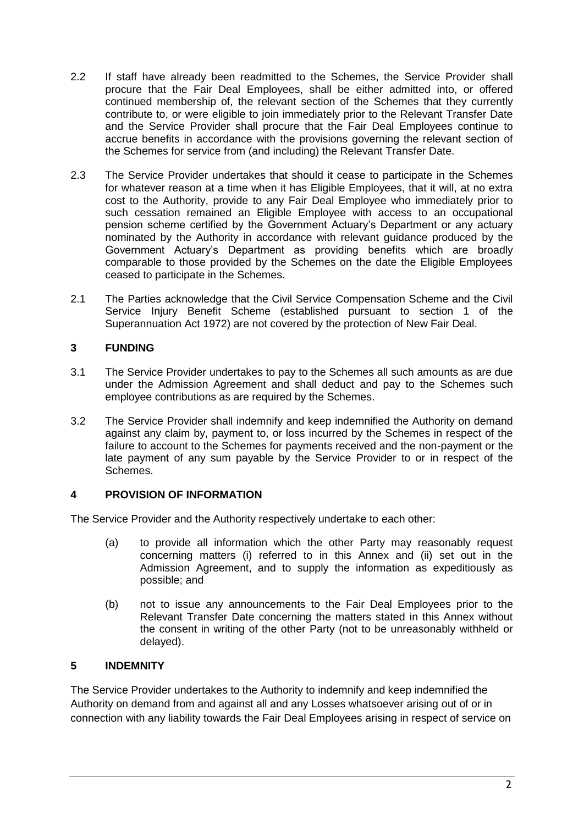- 2.2 If staff have already been readmitted to the Schemes, the Service Provider shall procure that the Fair Deal Employees, shall be either admitted into, or offered continued membership of, the relevant section of the Schemes that they currently contribute to, or were eligible to join immediately prior to the Relevant Transfer Date and the Service Provider shall procure that the Fair Deal Employees continue to accrue benefits in accordance with the provisions governing the relevant section of the Schemes for service from (and including) the Relevant Transfer Date.
- <span id="page-20-0"></span>2.3 The Service Provider undertakes that should it cease to participate in the Schemes for whatever reason at a time when it has Eligible Employees, that it will, at no extra cost to the Authority, provide to any Fair Deal Employee who immediately prior to such cessation remained an Eligible Employee with access to an occupational pension scheme certified by the Government Actuary's Department or any actuary nominated by the Authority in accordance with relevant guidance produced by the Government Actuary's Department as providing benefits which are broadly comparable to those provided by the Schemes on the date the Eligible Employees ceased to participate in the Schemes.
- 2.1 The Parties acknowledge that the Civil Service Compensation Scheme and the Civil Service Injury Benefit Scheme (established pursuant to section 1 of the Superannuation Act 1972) are not covered by the protection of New Fair Deal.

### **3 FUNDING**

- 3.1 The Service Provider undertakes to pay to the Schemes all such amounts as are due under the Admission Agreement and shall deduct and pay to the Schemes such employee contributions as are required by the Schemes.
- 3.2 The Service Provider shall indemnify and keep indemnified the Authority on demand against any claim by, payment to, or loss incurred by the Schemes in respect of the failure to account to the Schemes for payments received and the non-payment or the late payment of any sum payable by the Service Provider to or in respect of the Schemes.

### **4 PROVISION OF INFORMATION**

The Service Provider and the Authority respectively undertake to each other:

- (a) to provide all information which the other Party may reasonably request concerning matters (i) referred to in this Annex and (ii) set out in the Admission Agreement, and to supply the information as expeditiously as possible; and
- (b) not to issue any announcements to the Fair Deal Employees prior to the Relevant Transfer Date concerning the matters stated in this Annex without the consent in writing of the other Party (not to be unreasonably withheld or delayed).

### **5 INDEMNITY**

The Service Provider undertakes to the Authority to indemnify and keep indemnified the Authority on demand from and against all and any Losses whatsoever arising out of or in connection with any liability towards the Fair Deal Employees arising in respect of service on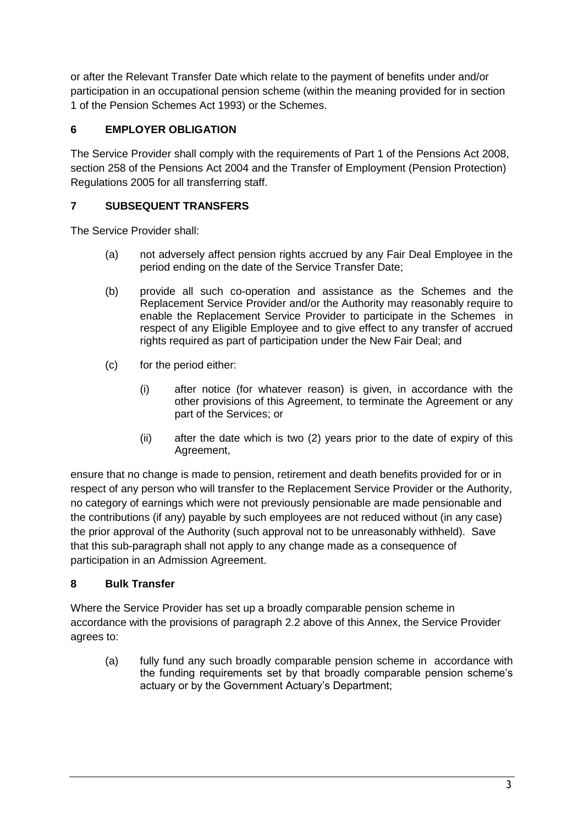or after the Relevant Transfer Date which relate to the payment of benefits under and/or participation in an occupational pension scheme (within the meaning provided for in section 1 of the Pension Schemes Act 1993) or the Schemes.

# **6 EMPLOYER OBLIGATION**

The Service Provider shall comply with the requirements of Part 1 of the Pensions Act 2008, section 258 of the Pensions Act 2004 and the Transfer of Employment (Pension Protection) Regulations 2005 for all transferring staff.

# **7 SUBSEQUENT TRANSFERS**

The Service Provider shall:

- (a) not adversely affect pension rights accrued by any Fair Deal Employee in the period ending on the date of the Service Transfer Date;
- (b) provide all such co-operation and assistance as the Schemes and the Replacement Service Provider and/or the Authority may reasonably require to enable the Replacement Service Provider to participate in the Schemes in respect of any Eligible Employee and to give effect to any transfer of accrued rights required as part of participation under the New Fair Deal; and
- (c) for the period either:
	- (i) after notice (for whatever reason) is given, in accordance with the other provisions of this Agreement, to terminate the Agreement or any part of the Services; or
	- (ii) after the date which is two (2) years prior to the date of expiry of this Agreement,

ensure that no change is made to pension, retirement and death benefits provided for or in respect of any person who will transfer to the Replacement Service Provider or the Authority, no category of earnings which were not previously pensionable are made pensionable and the contributions (if any) payable by such employees are not reduced without (in any case) the prior approval of the Authority (such approval not to be unreasonably withheld). Save that this sub-paragraph shall not apply to any change made as a consequence of participation in an Admission Agreement.

# <span id="page-21-0"></span>**8 Bulk Transfer**

Where the Service Provider has set up a broadly comparable pension scheme in accordance with the provisions of paragraph [2.2](#page-13-0) above of this Annex, the Service Provider agrees to:

(a) fully fund any such broadly comparable pension scheme in accordance with the funding requirements set by that broadly comparable pension scheme's actuary or by the Government Actuary's Department;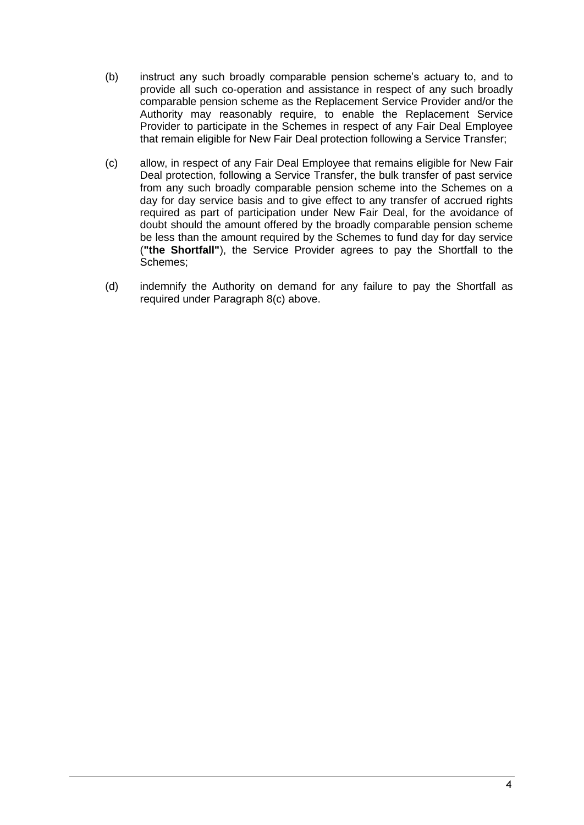- (b) instruct any such broadly comparable pension scheme's actuary to, and to provide all such co-operation and assistance in respect of any such broadly comparable pension scheme as the Replacement Service Provider and/or the Authority may reasonably require, to enable the Replacement Service Provider to participate in the Schemes in respect of any Fair Deal Employee that remain eligible for New Fair Deal protection following a Service Transfer;
- <span id="page-22-0"></span>(c) allow, in respect of any Fair Deal Employee that remains eligible for New Fair Deal protection, following a Service Transfer, the bulk transfer of past service from any such broadly comparable pension scheme into the Schemes on a day for day service basis and to give effect to any transfer of accrued rights required as part of participation under New Fair Deal, for the avoidance of doubt should the amount offered by the broadly comparable pension scheme be less than the amount required by the Schemes to fund day for day service (**"the Shortfall"**), the Service Provider agrees to pay the Shortfall to the Schemes;
- (d) indemnify the Authority on demand for any failure to pay the Shortfall as required under Paragraph [8](#page-21-0)[\(c\)](#page-22-0) above.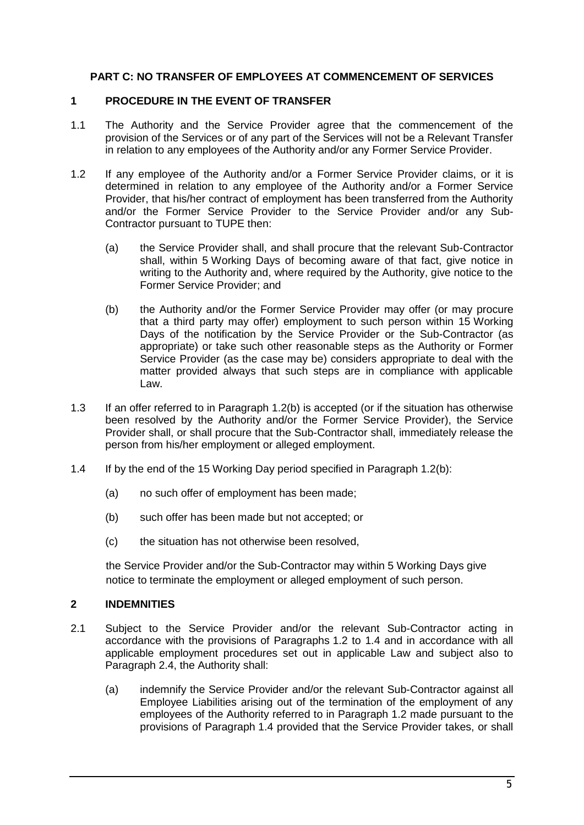### **PART C: NO TRANSFER OF EMPLOYEES AT COMMENCEMENT OF SERVICES**

### **1 PROCEDURE IN THE EVENT OF TRANSFER**

- 1.1 The Authority and the Service Provider agree that the commencement of the provision of the Services or of any part of the Services will not be a Relevant Transfer in relation to any employees of the Authority and/or any Former Service Provider.
- <span id="page-23-0"></span>1.2 If any employee of the Authority and/or a Former Service Provider claims, or it is determined in relation to any employee of the Authority and/or a Former Service Provider, that his/her contract of employment has been transferred from the Authority and/or the Former Service Provider to the Service Provider and/or any Sub-Contractor pursuant to TUPE then:
	- (a) the Service Provider shall, and shall procure that the relevant Sub-Contractor shall, within 5 Working Days of becoming aware of that fact, give notice in writing to the Authority and, where required by the Authority, give notice to the Former Service Provider; and
	- (b) the Authority and/or the Former Service Provider may offer (or may procure that a third party may offer) employment to such person within 15 Working Days of the notification by the Service Provider or the Sub-Contractor (as appropriate) or take such other reasonable steps as the Authority or Former Service Provider (as the case may be) considers appropriate to deal with the matter provided always that such steps are in compliance with applicable Law.
- 1.3 If an offer referred to in Paragraph 1.2(b) is accepted (or if the situation has otherwise been resolved by the Authority and/or the Former Service Provider), the Service Provider shall, or shall procure that the Sub-Contractor shall, immediately release the person from his/her employment or alleged employment.
- <span id="page-23-1"></span>1.4 If by the end of the 15 Working Day period specified in Paragraph 1.2(b):
	- (a) no such offer of employment has been made;
	- (b) such offer has been made but not accepted; or
	- (c) the situation has not otherwise been resolved,

the Service Provider and/or the Sub-Contractor may within 5 Working Days give notice to terminate the employment or alleged employment of such person.

### **2 INDEMNITIES**

- 2.1 Subject to the Service Provider and/or the relevant Sub-Contractor acting in accordance with the provisions of Paragraphs [1.2](#page-23-0) to [1.4](#page-23-1) and in accordance with all applicable employment procedures set out in applicable Law and subject also to Paragraph [2.4,](#page-24-0) the Authority shall:
	- (a) indemnify the Service Provider and/or the relevant Sub-Contractor against all Employee Liabilities arising out of the termination of the employment of any employees of the Authority referred to in Paragraph [1.2](#page-23-0) made pursuant to the provisions of Paragraph 1.4 provided that the Service Provider takes, or shall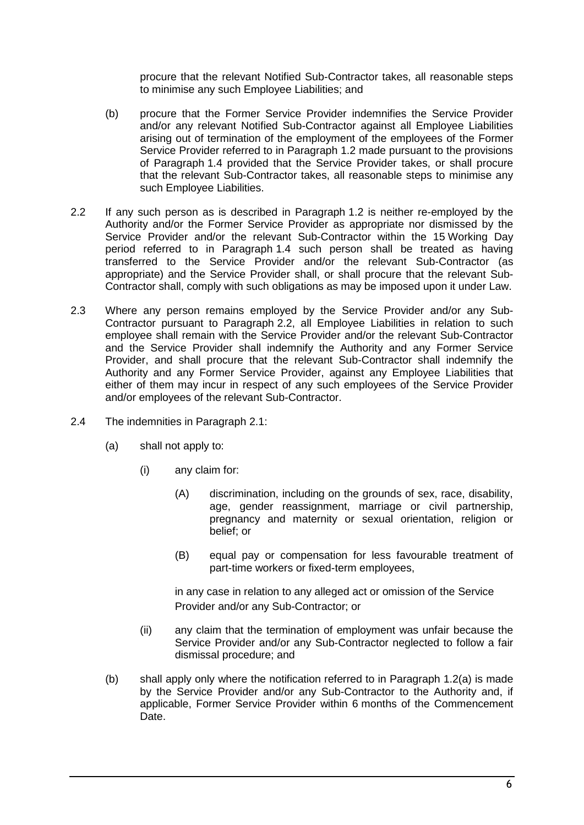procure that the relevant Notified Sub-Contractor takes, all reasonable steps to minimise any such Employee Liabilities; and

- (b) procure that the Former Service Provider indemnifies the Service Provider and/or any relevant Notified Sub-Contractor against all Employee Liabilities arising out of termination of the employment of the employees of the Former Service Provider referred to in Paragraph 1.2 made pursuant to the provisions of Paragraph 1.4 provided that the Service Provider takes, or shall procure that the relevant Sub-Contractor takes, all reasonable steps to minimise any such Employee Liabilities.
- 2.2 If any such person as is described in Paragraph 1.2 is neither re-employed by the Authority and/or the Former Service Provider as appropriate nor dismissed by the Service Provider and/or the relevant Sub-Contractor within the 15 Working Day period referred to in Paragraph 1.4 such person shall be treated as having transferred to the Service Provider and/or the relevant Sub-Contractor (as appropriate) and the Service Provider shall, or shall procure that the relevant Sub-Contractor shall, comply with such obligations as may be imposed upon it under Law.
- 2.3 Where any person remains employed by the Service Provider and/or any Sub-Contractor pursuant to Paragraph 2.2, all Employee Liabilities in relation to such employee shall remain with the Service Provider and/or the relevant Sub-Contractor and the Service Provider shall indemnify the Authority and any Former Service Provider, and shall procure that the relevant Sub-Contractor shall indemnify the Authority and any Former Service Provider, against any Employee Liabilities that either of them may incur in respect of any such employees of the Service Provider and/or employees of the relevant Sub-Contractor.
- <span id="page-24-0"></span>2.4 The indemnities in Paragraph 2.1:
	- (a) shall not apply to:
		- (i) any claim for:
			- (A) discrimination, including on the grounds of sex, race, disability, age, gender reassignment, marriage or civil partnership, pregnancy and maternity or sexual orientation, religion or belief; or
			- (B) equal pay or compensation for less favourable treatment of part-time workers or fixed-term employees,

in any case in relation to any alleged act or omission of the Service Provider and/or any Sub-Contractor; or

- (ii) any claim that the termination of employment was unfair because the Service Provider and/or any Sub-Contractor neglected to follow a fair dismissal procedure; and
- (b) shall apply only where the notification referred to in Paragraph 1.2(a) is made by the Service Provider and/or any Sub-Contractor to the Authority and, if applicable, Former Service Provider within 6 months of the Commencement Date.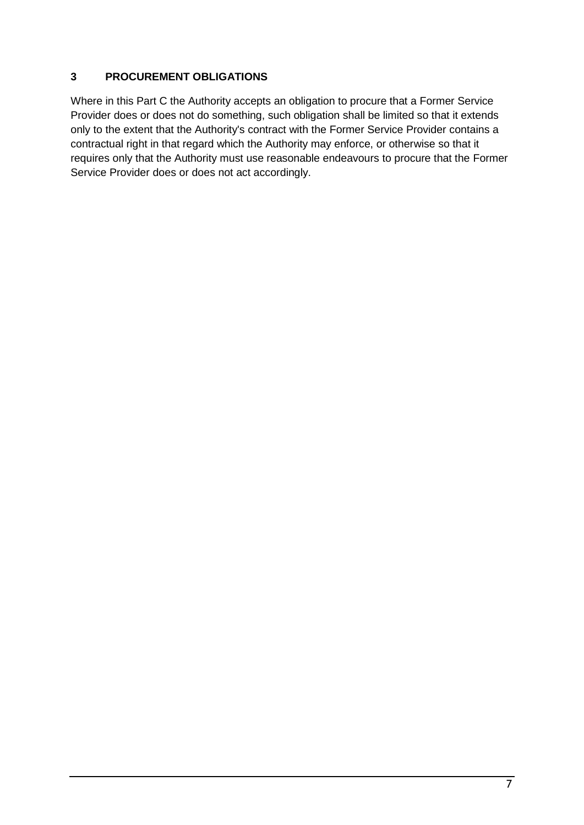### **3 PROCUREMENT OBLIGATIONS**

Where in this Part C the Authority accepts an obligation to procure that a Former Service Provider does or does not do something, such obligation shall be limited so that it extends only to the extent that the Authority's contract with the Former Service Provider contains a contractual right in that regard which the Authority may enforce, or otherwise so that it requires only that the Authority must use reasonable endeavours to procure that the Former Service Provider does or does not act accordingly.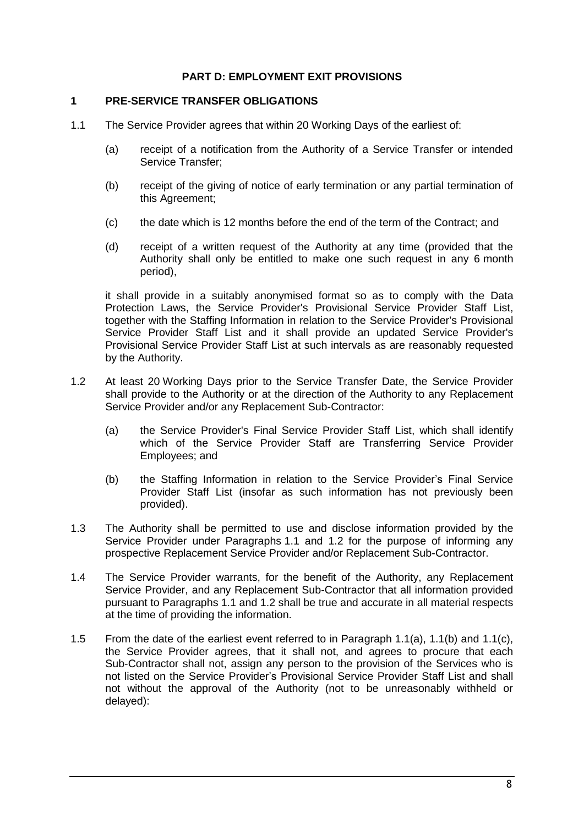#### **PART D: EMPLOYMENT EXIT PROVISIONS**

#### **1 PRE-SERVICE TRANSFER OBLIGATIONS**

- 1.1 The Service Provider agrees that within 20 Working Days of the earliest of:
	- (a) receipt of a notification from the Authority of a Service Transfer or intended Service Transfer;
	- (b) receipt of the giving of notice of early termination or any partial termination of this Agreement;
	- (c) the date which is 12 months before the end of the term of the Contract; and
	- (d) receipt of a written request of the Authority at any time (provided that the Authority shall only be entitled to make one such request in any 6 month period),

it shall provide in a suitably anonymised format so as to comply with the Data Protection Laws, the Service Provider's Provisional Service Provider Staff List, together with the Staffing Information in relation to the Service Provider's Provisional Service Provider Staff List and it shall provide an updated Service Provider's Provisional Service Provider Staff List at such intervals as are reasonably requested by the Authority.

- 1.2 At least 20 Working Days prior to the Service Transfer Date, the Service Provider shall provide to the Authority or at the direction of the Authority to any Replacement Service Provider and/or any Replacement Sub-Contractor:
	- (a) the Service Provider's Final Service Provider Staff List, which shall identify which of the Service Provider Staff are Transferring Service Provider Employees; and
	- (b) the Staffing Information in relation to the Service Provider's Final Service Provider Staff List (insofar as such information has not previously been provided).
- 1.3 The Authority shall be permitted to use and disclose information provided by the Service Provider under Paragraphs 1.1 and 1.2 for the purpose of informing any prospective Replacement Service Provider and/or Replacement Sub-Contractor.
- 1.4 The Service Provider warrants, for the benefit of the Authority, any Replacement Service Provider, and any Replacement Sub-Contractor that all information provided pursuant to Paragraphs 1.1 and 1.2 shall be true and accurate in all material respects at the time of providing the information.
- 1.5 From the date of the earliest event referred to in Paragraph 1.1(a), 1.1(b) and 1.1(c), the Service Provider agrees, that it shall not, and agrees to procure that each Sub-Contractor shall not, assign any person to the provision of the Services who is not listed on the Service Provider's Provisional Service Provider Staff List and shall not without the approval of the Authority (not to be unreasonably withheld or delayed):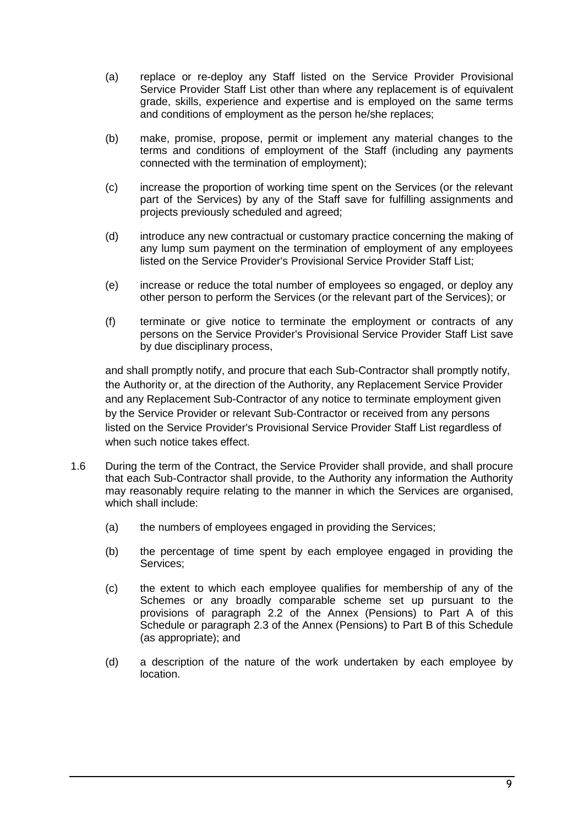- (a) replace or re-deploy any Staff listed on the Service Provider Provisional Service Provider Staff List other than where any replacement is of equivalent grade, skills, experience and expertise and is employed on the same terms and conditions of employment as the person he/she replaces;
- (b) make, promise, propose, permit or implement any material changes to the terms and conditions of employment of the Staff (including any payments connected with the termination of employment);
- (c) increase the proportion of working time spent on the Services (or the relevant part of the Services) by any of the Staff save for fulfilling assignments and projects previously scheduled and agreed;
- (d) introduce any new contractual or customary practice concerning the making of any lump sum payment on the termination of employment of any employees listed on the Service Provider's Provisional Service Provider Staff List;
- (e) increase or reduce the total number of employees so engaged, or deploy any other person to perform the Services (or the relevant part of the Services); or
- (f) terminate or give notice to terminate the employment or contracts of any persons on the Service Provider's Provisional Service Provider Staff List save by due disciplinary process,

and shall promptly notify, and procure that each Sub-Contractor shall promptly notify, the Authority or, at the direction of the Authority, any Replacement Service Provider and any Replacement Sub-Contractor of any notice to terminate employment given by the Service Provider or relevant Sub-Contractor or received from any persons listed on the Service Provider's Provisional Service Provider Staff List regardless of when such notice takes effect.

- 1.6 During the term of the Contract, the Service Provider shall provide, and shall procure that each Sub-Contractor shall provide, to the Authority any information the Authority may reasonably require relating to the manner in which the Services are organised, which shall include:
	- (a) the numbers of employees engaged in providing the Services;
	- (b) the percentage of time spent by each employee engaged in providing the Services;
	- (c) the extent to which each employee qualifies for membership of any of the Schemes or any broadly comparable scheme set up pursuant to the provisions of paragraph [2.2](#page-9-0) of the Annex (Pensions) to Part A of this Schedule or paragraph [2.3](#page-20-0) of the Annex (Pensions) to Part B of this Schedule (as appropriate); and
	- (d) a description of the nature of the work undertaken by each employee by location.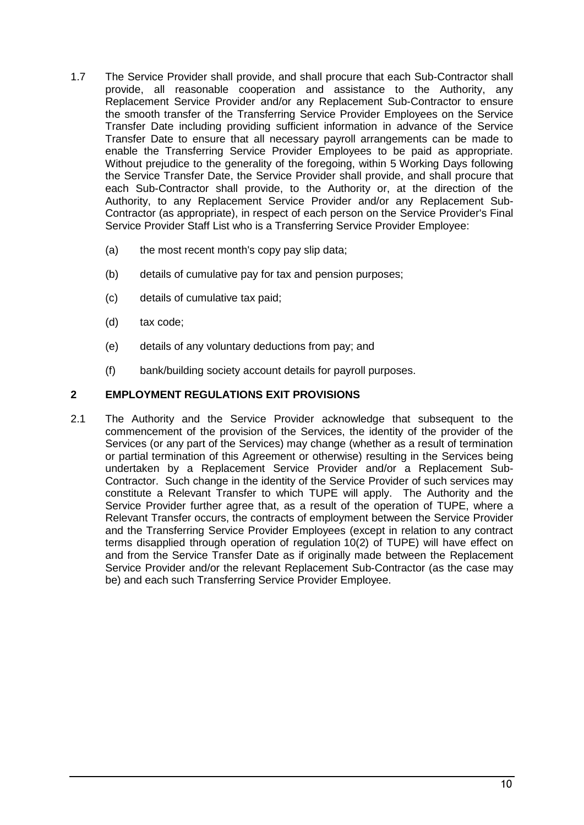- 1.7 The Service Provider shall provide, and shall procure that each Sub-Contractor shall provide, all reasonable cooperation and assistance to the Authority, any Replacement Service Provider and/or any Replacement Sub-Contractor to ensure the smooth transfer of the Transferring Service Provider Employees on the Service Transfer Date including providing sufficient information in advance of the Service Transfer Date to ensure that all necessary payroll arrangements can be made to enable the Transferring Service Provider Employees to be paid as appropriate. Without prejudice to the generality of the foregoing, within 5 Working Days following the Service Transfer Date, the Service Provider shall provide, and shall procure that each Sub-Contractor shall provide, to the Authority or, at the direction of the Authority, to any Replacement Service Provider and/or any Replacement Sub-Contractor (as appropriate), in respect of each person on the Service Provider's Final Service Provider Staff List who is a Transferring Service Provider Employee:
	- (a) the most recent month's copy pay slip data;
	- (b) details of cumulative pay for tax and pension purposes;
	- (c) details of cumulative tax paid;
	- (d) tax code;
	- (e) details of any voluntary deductions from pay; and
	- (f) bank/building society account details for payroll purposes.

### **2 EMPLOYMENT REGULATIONS EXIT PROVISIONS**

2.1 The Authority and the Service Provider acknowledge that subsequent to the commencement of the provision of the Services, the identity of the provider of the Services (or any part of the Services) may change (whether as a result of termination or partial termination of this Agreement or otherwise) resulting in the Services being undertaken by a Replacement Service Provider and/or a Replacement Sub-Contractor. Such change in the identity of the Service Provider of such services may constitute a Relevant Transfer to which TUPE will apply. The Authority and the Service Provider further agree that, as a result of the operation of TUPE, where a Relevant Transfer occurs, the contracts of employment between the Service Provider and the Transferring Service Provider Employees (except in relation to any contract terms disapplied through operation of regulation 10(2) of TUPE) will have effect on and from the Service Transfer Date as if originally made between the Replacement Service Provider and/or the relevant Replacement Sub-Contractor (as the case may be) and each such Transferring Service Provider Employee.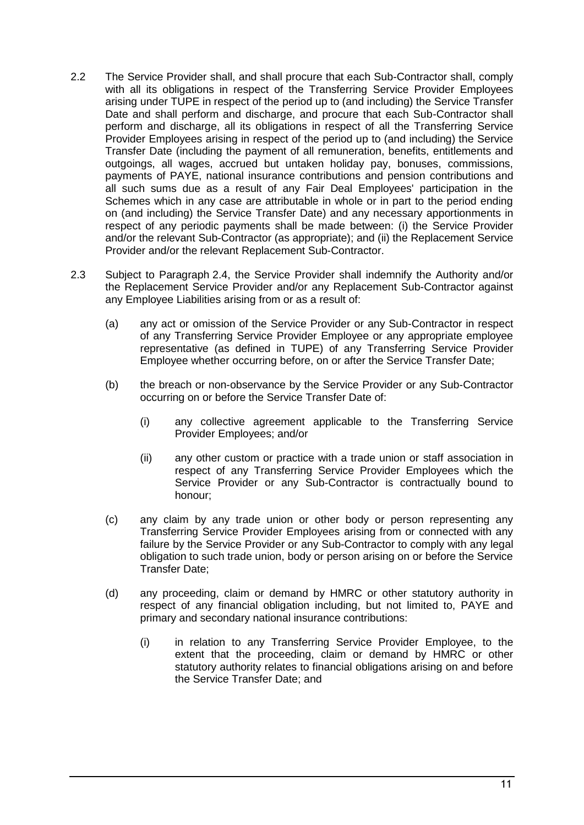- 2.2 The Service Provider shall, and shall procure that each Sub-Contractor shall, comply with all its obligations in respect of the Transferring Service Provider Employees arising under TUPE in respect of the period up to (and including) the Service Transfer Date and shall perform and discharge, and procure that each Sub-Contractor shall perform and discharge, all its obligations in respect of all the Transferring Service Provider Employees arising in respect of the period up to (and including) the Service Transfer Date (including the payment of all remuneration, benefits, entitlements and outgoings, all wages, accrued but untaken holiday pay, bonuses, commissions, payments of PAYE, national insurance contributions and pension contributions and all such sums due as a result of any Fair Deal Employees' participation in the Schemes which in any case are attributable in whole or in part to the period ending on (and including) the Service Transfer Date) and any necessary apportionments in respect of any periodic payments shall be made between: (i) the Service Provider and/or the relevant Sub-Contractor (as appropriate); and (ii) the Replacement Service Provider and/or the relevant Replacement Sub-Contractor.
- 2.3 Subject to Paragraph 2.4, the Service Provider shall indemnify the Authority and/or the Replacement Service Provider and/or any Replacement Sub-Contractor against any Employee Liabilities arising from or as a result of:
	- (a) any act or omission of the Service Provider or any Sub-Contractor in respect of any Transferring Service Provider Employee or any appropriate employee representative (as defined in TUPE) of any Transferring Service Provider Employee whether occurring before, on or after the Service Transfer Date;
	- (b) the breach or non-observance by the Service Provider or any Sub-Contractor occurring on or before the Service Transfer Date of:
		- (i) any collective agreement applicable to the Transferring Service Provider Employees; and/or
		- (ii) any other custom or practice with a trade union or staff association in respect of any Transferring Service Provider Employees which the Service Provider or any Sub-Contractor is contractually bound to honour;
	- (c) any claim by any trade union or other body or person representing any Transferring Service Provider Employees arising from or connected with any failure by the Service Provider or any Sub-Contractor to comply with any legal obligation to such trade union, body or person arising on or before the Service Transfer Date;
	- (d) any proceeding, claim or demand by HMRC or other statutory authority in respect of any financial obligation including, but not limited to, PAYE and primary and secondary national insurance contributions:
		- (i) in relation to any Transferring Service Provider Employee, to the extent that the proceeding, claim or demand by HMRC or other statutory authority relates to financial obligations arising on and before the Service Transfer Date; and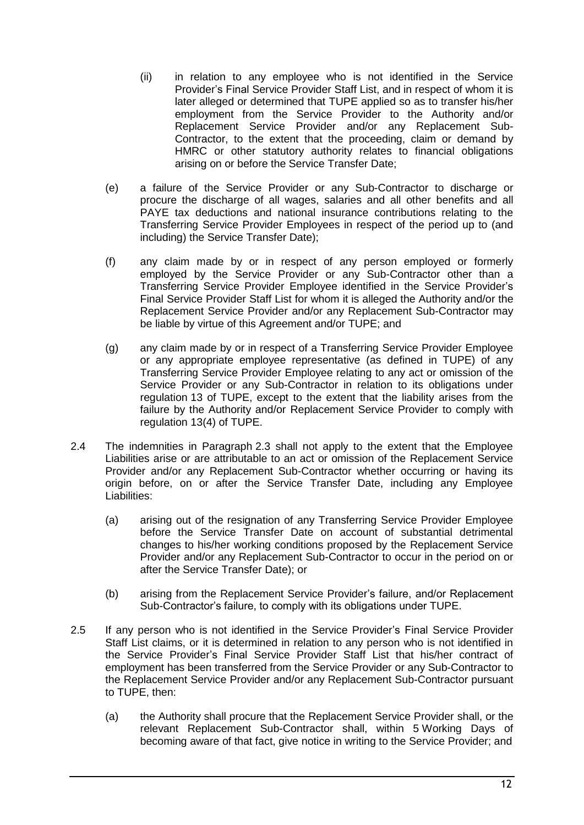- (ii) in relation to any employee who is not identified in the Service Provider's Final Service Provider Staff List, and in respect of whom it is later alleged or determined that TUPE applied so as to transfer his/her employment from the Service Provider to the Authority and/or Replacement Service Provider and/or any Replacement Sub-Contractor, to the extent that the proceeding, claim or demand by HMRC or other statutory authority relates to financial obligations arising on or before the Service Transfer Date;
- (e) a failure of the Service Provider or any Sub-Contractor to discharge or procure the discharge of all wages, salaries and all other benefits and all PAYE tax deductions and national insurance contributions relating to the Transferring Service Provider Employees in respect of the period up to (and including) the Service Transfer Date);
- (f) any claim made by or in respect of any person employed or formerly employed by the Service Provider or any Sub-Contractor other than a Transferring Service Provider Employee identified in the Service Provider's Final Service Provider Staff List for whom it is alleged the Authority and/or the Replacement Service Provider and/or any Replacement Sub-Contractor may be liable by virtue of this Agreement and/or TUPE; and
- (g) any claim made by or in respect of a Transferring Service Provider Employee or any appropriate employee representative (as defined in TUPE) of any Transferring Service Provider Employee relating to any act or omission of the Service Provider or any Sub-Contractor in relation to its obligations under regulation 13 of TUPE, except to the extent that the liability arises from the failure by the Authority and/or Replacement Service Provider to comply with regulation 13(4) of TUPE.
- 2.4 The indemnities in Paragraph 2.3 shall not apply to the extent that the Employee Liabilities arise or are attributable to an act or omission of the Replacement Service Provider and/or any Replacement Sub-Contractor whether occurring or having its origin before, on or after the Service Transfer Date, including any Employee Liabilities:
	- (a) arising out of the resignation of any Transferring Service Provider Employee before the Service Transfer Date on account of substantial detrimental changes to his/her working conditions proposed by the Replacement Service Provider and/or any Replacement Sub-Contractor to occur in the period on or after the Service Transfer Date); or
	- (b) arising from the Replacement Service Provider's failure, and/or Replacement Sub-Contractor's failure, to comply with its obligations under TUPE.
- <span id="page-30-0"></span>2.5 If any person who is not identified in the Service Provider's Final Service Provider Staff List claims, or it is determined in relation to any person who is not identified in the Service Provider's Final Service Provider Staff List that his/her contract of employment has been transferred from the Service Provider or any Sub-Contractor to the Replacement Service Provider and/or any Replacement Sub-Contractor pursuant to TUPE, then:
	- (a) the Authority shall procure that the Replacement Service Provider shall, or the relevant Replacement Sub-Contractor shall, within 5 Working Days of becoming aware of that fact, give notice in writing to the Service Provider; and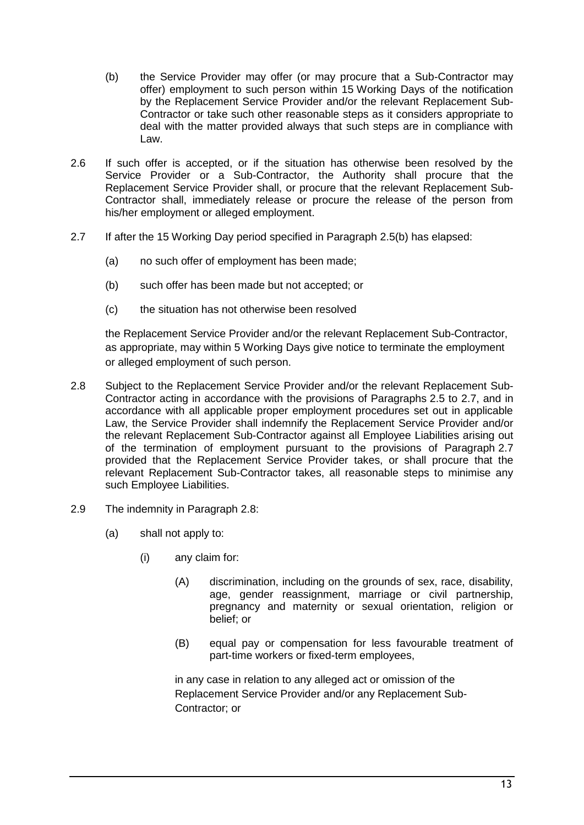- (b) the Service Provider may offer (or may procure that a Sub-Contractor may offer) employment to such person within 15 Working Days of the notification by the Replacement Service Provider and/or the relevant Replacement Sub-Contractor or take such other reasonable steps as it considers appropriate to deal with the matter provided always that such steps are in compliance with Law.
- 2.6 If such offer is accepted, or if the situation has otherwise been resolved by the Service Provider or a Sub-Contractor, the Authority shall procure that the Replacement Service Provider shall, or procure that the relevant Replacement Sub-Contractor shall, immediately release or procure the release of the person from his/her employment or alleged employment.
- 2.7 If after the 15 Working Day period specified in Paragraph 2.5(b) has elapsed:
	- (a) no such offer of employment has been made;
	- (b) such offer has been made but not accepted; or
	- (c) the situation has not otherwise been resolved

the Replacement Service Provider and/or the relevant Replacement Sub-Contractor, as appropriate, may within 5 Working Days give notice to terminate the employment or alleged employment of such person.

- 2.8 Subject to the Replacement Service Provider and/or the relevant Replacement Sub-Contractor acting in accordance with the provisions of Paragraphs [2.5](#page-30-0) to 2.7, and in accordance with all applicable proper employment procedures set out in applicable Law, the Service Provider shall indemnify the Replacement Service Provider and/or the relevant Replacement Sub-Contractor against all Employee Liabilities arising out of the termination of employment pursuant to the provisions of Paragraph 2.7 provided that the Replacement Service Provider takes, or shall procure that the relevant Replacement Sub-Contractor takes, all reasonable steps to minimise any such Employee Liabilities.
- 2.9 The indemnity in Paragraph 2.8:
	- (a) shall not apply to:
		- (i) any claim for:
			- (A) discrimination, including on the grounds of sex, race, disability, age, gender reassignment, marriage or civil partnership, pregnancy and maternity or sexual orientation, religion or belief; or
			- (B) equal pay or compensation for less favourable treatment of part-time workers or fixed-term employees,

in any case in relation to any alleged act or omission of the Replacement Service Provider and/or any Replacement Sub-Contractor; or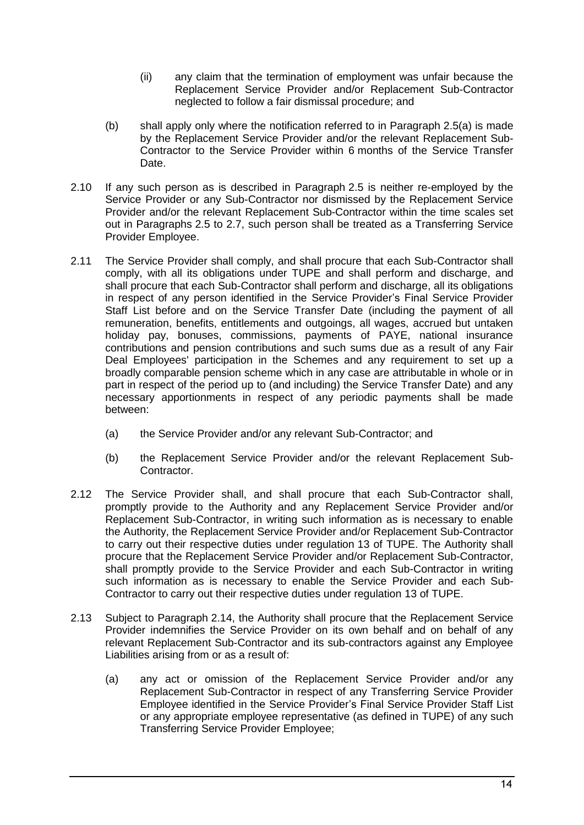- (ii) any claim that the termination of employment was unfair because the Replacement Service Provider and/or Replacement Sub-Contractor neglected to follow a fair dismissal procedure; and
- (b) shall apply only where the notification referred to in Paragraph 2.5(a) is made by the Replacement Service Provider and/or the relevant Replacement Sub-Contractor to the Service Provider within 6 months of the Service Transfer Date.
- 2.10 If any such person as is described in Paragraph 2.5 is neither re-employed by the Service Provider or any Sub-Contractor nor dismissed by the Replacement Service Provider and/or the relevant Replacement Sub-Contractor within the time scales set out in Paragraphs 2.5 to 2.7, such person shall be treated as a Transferring Service Provider Employee.
- 2.11 The Service Provider shall comply, and shall procure that each Sub-Contractor shall comply, with all its obligations under TUPE and shall perform and discharge, and shall procure that each Sub-Contractor shall perform and discharge, all its obligations in respect of any person identified in the Service Provider's Final Service Provider Staff List before and on the Service Transfer Date (including the payment of all remuneration, benefits, entitlements and outgoings, all wages, accrued but untaken holiday pay, bonuses, commissions, payments of PAYE, national insurance contributions and pension contributions and such sums due as a result of any Fair Deal Employees' participation in the Schemes and any requirement to set up a broadly comparable pension scheme which in any case are attributable in whole or in part in respect of the period up to (and including) the Service Transfer Date) and any necessary apportionments in respect of any periodic payments shall be made between:
	- (a) the Service Provider and/or any relevant Sub-Contractor; and
	- (b) the Replacement Service Provider and/or the relevant Replacement Sub-Contractor.
- 2.12 The Service Provider shall, and shall procure that each Sub-Contractor shall, promptly provide to the Authority and any Replacement Service Provider and/or Replacement Sub-Contractor, in writing such information as is necessary to enable the Authority, the Replacement Service Provider and/or Replacement Sub-Contractor to carry out their respective duties under regulation 13 of TUPE. The Authority shall procure that the Replacement Service Provider and/or Replacement Sub-Contractor, shall promptly provide to the Service Provider and each Sub-Contractor in writing such information as is necessary to enable the Service Provider and each Sub-Contractor to carry out their respective duties under regulation 13 of TUPE.
- 2.13 Subject to Paragraph 2.14, the Authority shall procure that the Replacement Service Provider indemnifies the Service Provider on its own behalf and on behalf of any relevant Replacement Sub-Contractor and its sub-contractors against any Employee Liabilities arising from or as a result of:
	- (a) any act or omission of the Replacement Service Provider and/or any Replacement Sub-Contractor in respect of any Transferring Service Provider Employee identified in the Service Provider's Final Service Provider Staff List or any appropriate employee representative (as defined in TUPE) of any such Transferring Service Provider Employee;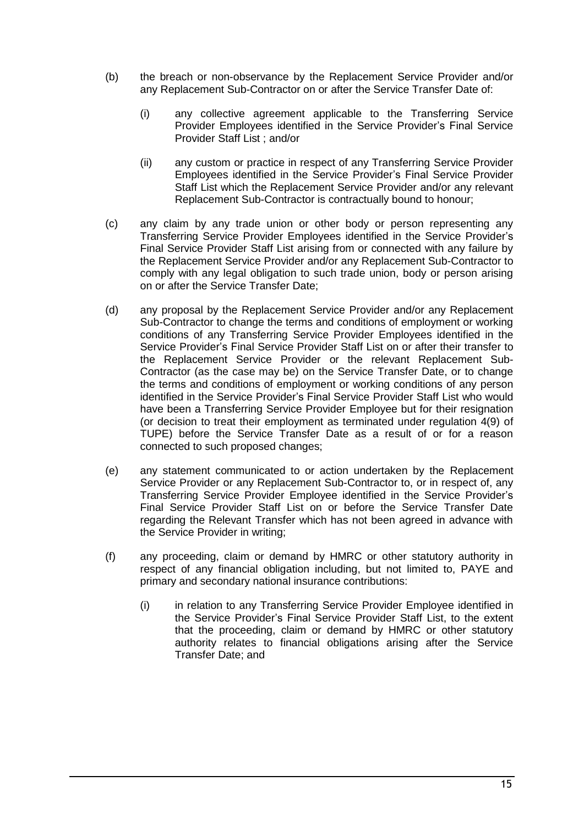- (b) the breach or non-observance by the Replacement Service Provider and/or any Replacement Sub-Contractor on or after the Service Transfer Date of:
	- (i) any collective agreement applicable to the Transferring Service Provider Employees identified in the Service Provider's Final Service Provider Staff List ; and/or
	- (ii) any custom or practice in respect of any Transferring Service Provider Employees identified in the Service Provider's Final Service Provider Staff List which the Replacement Service Provider and/or any relevant Replacement Sub-Contractor is contractually bound to honour;
- (c) any claim by any trade union or other body or person representing any Transferring Service Provider Employees identified in the Service Provider's Final Service Provider Staff List arising from or connected with any failure by the Replacement Service Provider and/or any Replacement Sub-Contractor to comply with any legal obligation to such trade union, body or person arising on or after the Service Transfer Date;
- (d) any proposal by the Replacement Service Provider and/or any Replacement Sub-Contractor to change the terms and conditions of employment or working conditions of any Transferring Service Provider Employees identified in the Service Provider's Final Service Provider Staff List on or after their transfer to the Replacement Service Provider or the relevant Replacement Sub-Contractor (as the case may be) on the Service Transfer Date, or to change the terms and conditions of employment or working conditions of any person identified in the Service Provider's Final Service Provider Staff List who would have been a Transferring Service Provider Employee but for their resignation (or decision to treat their employment as terminated under regulation 4(9) of TUPE) before the Service Transfer Date as a result of or for a reason connected to such proposed changes;
- (e) any statement communicated to or action undertaken by the Replacement Service Provider or any Replacement Sub-Contractor to, or in respect of, any Transferring Service Provider Employee identified in the Service Provider's Final Service Provider Staff List on or before the Service Transfer Date regarding the Relevant Transfer which has not been agreed in advance with the Service Provider in writing;
- (f) any proceeding, claim or demand by HMRC or other statutory authority in respect of any financial obligation including, but not limited to, PAYE and primary and secondary national insurance contributions:
	- (i) in relation to any Transferring Service Provider Employee identified in the Service Provider's Final Service Provider Staff List, to the extent that the proceeding, claim or demand by HMRC or other statutory authority relates to financial obligations arising after the Service Transfer Date; and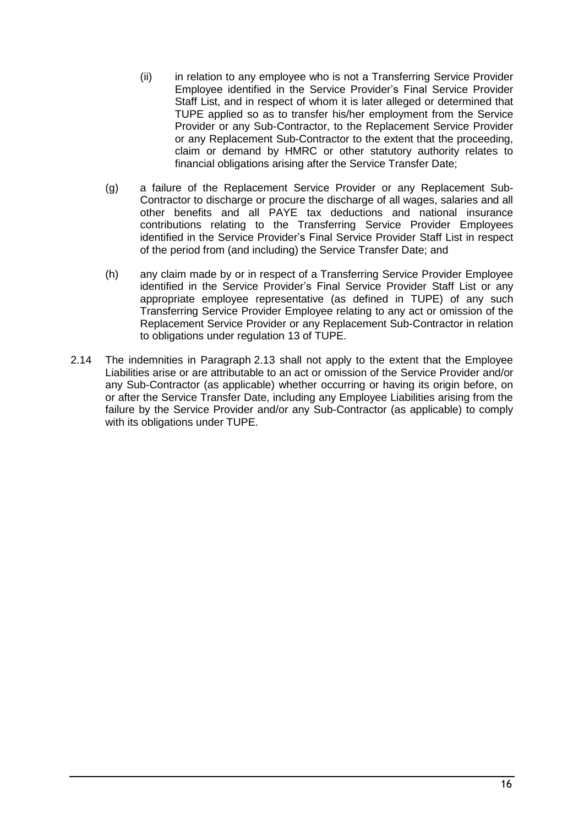- (ii) in relation to any employee who is not a Transferring Service Provider Employee identified in the Service Provider's Final Service Provider Staff List, and in respect of whom it is later alleged or determined that TUPE applied so as to transfer his/her employment from the Service Provider or any Sub-Contractor, to the Replacement Service Provider or any Replacement Sub-Contractor to the extent that the proceeding, claim or demand by HMRC or other statutory authority relates to financial obligations arising after the Service Transfer Date;
- (g) a failure of the Replacement Service Provider or any Replacement Sub-Contractor to discharge or procure the discharge of all wages, salaries and all other benefits and all PAYE tax deductions and national insurance contributions relating to the Transferring Service Provider Employees identified in the Service Provider's Final Service Provider Staff List in respect of the period from (and including) the Service Transfer Date; and
- (h) any claim made by or in respect of a Transferring Service Provider Employee identified in the Service Provider's Final Service Provider Staff List or any appropriate employee representative (as defined in TUPE) of any such Transferring Service Provider Employee relating to any act or omission of the Replacement Service Provider or any Replacement Sub-Contractor in relation to obligations under regulation 13 of TUPE.
- 2.14 The indemnities in Paragraph 2.13 shall not apply to the extent that the Employee Liabilities arise or are attributable to an act or omission of the Service Provider and/or any Sub-Contractor (as applicable) whether occurring or having its origin before, on or after the Service Transfer Date, including any Employee Liabilities arising from the failure by the Service Provider and/or any Sub-Contractor (as applicable) to comply with its obligations under TUPE.